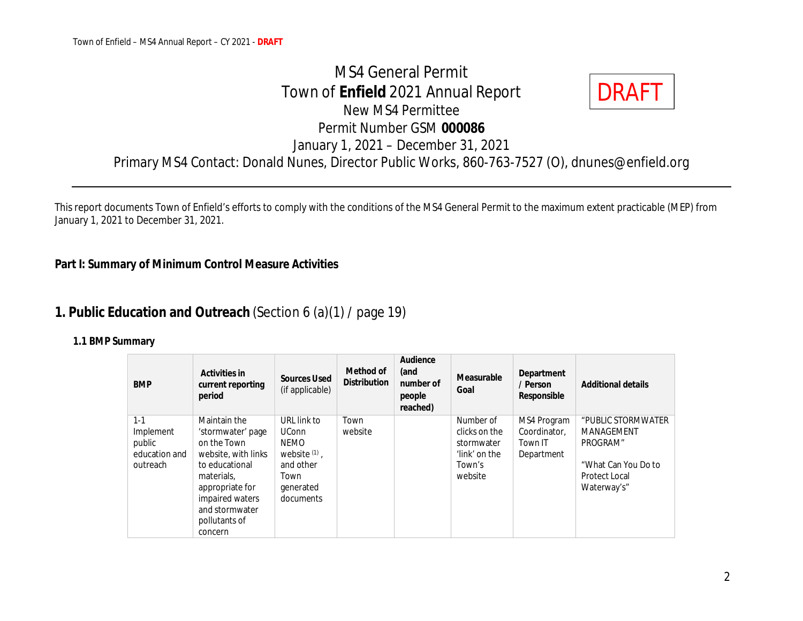MS4 General Permit Town of **Enfield** 2021 Annual Report New MS4 Permittee Permit Number GSM **000086** January 1, 2021 – December 31, 2021 Primary MS4 Contact: Donald Nunes, Director Public Works, 860-763-7527 (O), dnunes@enfield.org DRAFT

This report documents Town of Enfield's efforts to comply with the conditions of the MS4 General Permit to the maximum extent practicable (MEP) from January 1, 2021 to December 31, 2021.

**Part I: Summary of Minimum Control Measure Activities**

## **1. Public Education and Outreach** (Section 6 (a)(1) / page 19)

| <b>BMP</b>                                                  | Activities in<br>current reporting<br>period                                                                                                                                                | Sources Used<br>(if applicable)                                                                              | Method of<br><b>Distribution</b> | Audience<br>(and<br>number of<br>people<br>reached) | Measurable<br>Goal                                                             | Department<br>/ Person<br>Responsible                | Additional details                                                                                                |
|-------------------------------------------------------------|---------------------------------------------------------------------------------------------------------------------------------------------------------------------------------------------|--------------------------------------------------------------------------------------------------------------|----------------------------------|-----------------------------------------------------|--------------------------------------------------------------------------------|------------------------------------------------------|-------------------------------------------------------------------------------------------------------------------|
| $1 - 1$<br>Implement<br>public<br>education and<br>outreach | Maintain the<br>'stormwater' page<br>on the Town<br>website, with links<br>to educational<br>materials,<br>appropriate for<br>impaired waters<br>and stormwater<br>pollutants of<br>concern | URL link to<br><b>UConn</b><br><b>NEMO</b><br>website $(1)$ ,<br>and other<br>Town<br>generated<br>documents | Town<br>website                  |                                                     | Number of<br>clicks on the<br>stormwater<br>'link' on the<br>Town's<br>website | MS4 Program<br>Coordinator.<br>Town IT<br>Department | "PUBLIC STORMWATER<br><b>MANAGEMENT</b><br>PROGRAM"<br>"What Can You Do to<br><b>Protect Local</b><br>Waterway's" |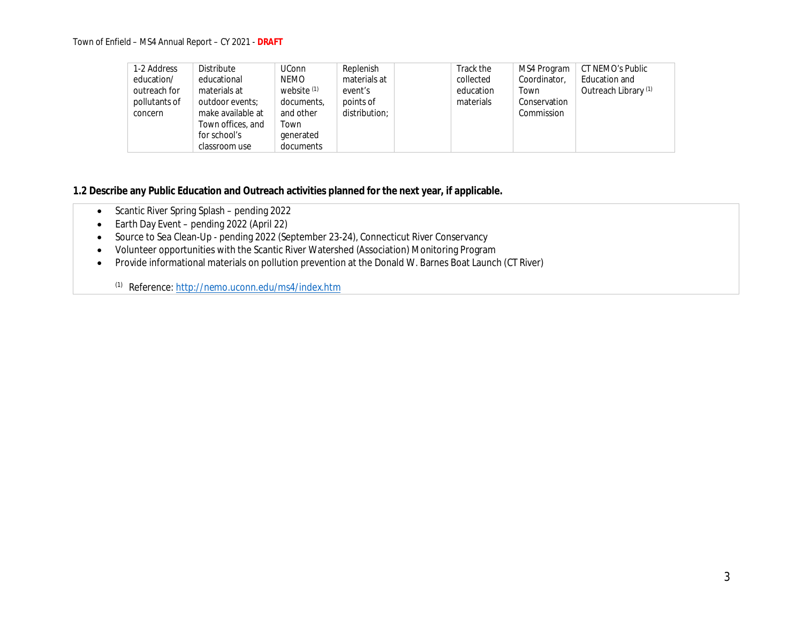Town of Enfield – MS4 Annual Report – CY 2021 - **DRAFT**

| 1-2 Address   | <b>Distribute</b> | <b>UConn</b>  | Replenish     | Track the | MS4 Program  | CT NEMO's Public     |
|---------------|-------------------|---------------|---------------|-----------|--------------|----------------------|
| education/    | educational       | NEMO          | materials at  | collected | Coordinator, | Education and        |
| outreach for  | materials at      | website $(1)$ | event's       | education | Town         | Outreach Library (1) |
| pollutants of | outdoor events:   | documents,    | points of     | materials | Conservation |                      |
| concern       | make available at | and other     | distribution: |           | Commission   |                      |
|               | Town offices, and | Town          |               |           |              |                      |
|               | for school's      | generated     |               |           |              |                      |
|               | classroom use     | documents     |               |           |              |                      |

**1.2 Describe any Public Education and Outreach activities planned for the next year, if applicable.**

- Scantic River Spring Splash pending 2022
- Earth Day Event pending 2022 (April 22)
- Source to Sea Clean-Up pending 2022 (September 23-24), Connecticut River Conservancy
- Volunteer opportunities with the Scantic River Watershed (Association) Monitoring Program
- Provide informational materials on pollution prevention at the Donald W. Barnes Boat Launch (CT River)

(1) Reference: http://nemo.uconn.edu/ms4/index.htm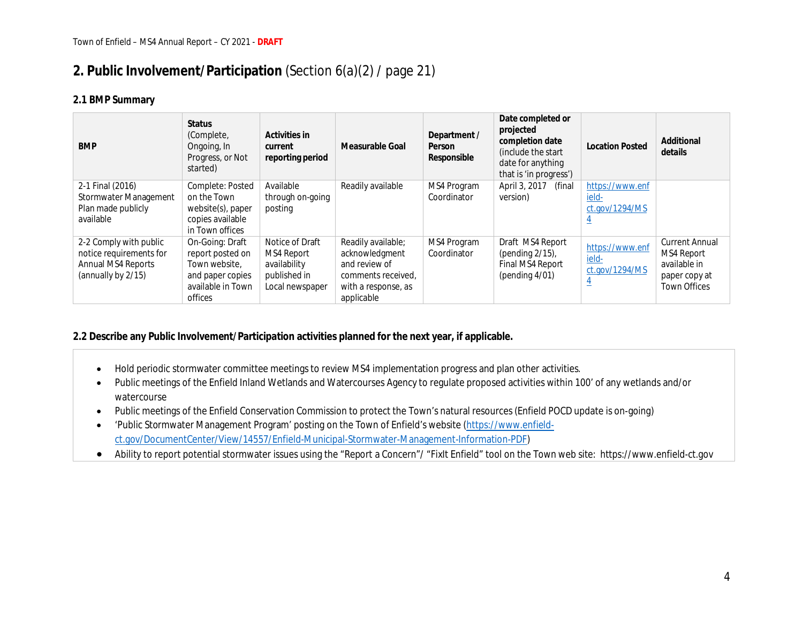## **2. Public Involvement/Participation** (Section 6(a)(2) / page 21)

### **2.1 BMP Summary**

| <b>BMP</b>                                  | <b>Status</b><br>(Complete,<br>Ongoing, In<br>Progress, or Not<br>started) | Activities in<br>current<br>reporting period | Measurable Goal     | Department /<br>Person<br>Responsible | Date completed or<br>projected<br>completion date<br>(include the start)<br>date for anything<br>that is 'in progress') | <b>Location Posted</b>  | Additional<br>details |
|---------------------------------------------|----------------------------------------------------------------------------|----------------------------------------------|---------------------|---------------------------------------|-------------------------------------------------------------------------------------------------------------------------|-------------------------|-----------------------|
| 2-1 Final (2016)                            | Complete: Posted                                                           | Available                                    | Readily available   | MS4 Program                           | April 3, 2017<br>(final                                                                                                 | https://www.enf         |                       |
| Stormwater Management<br>Plan made publicly | on the Town<br>website(s), paper                                           | through on-going<br>posting                  |                     | Coordinator                           | version)                                                                                                                | ield-<br>ct.gov/1294/MS |                       |
| available                                   | copies available                                                           |                                              |                     |                                       |                                                                                                                         |                         |                       |
|                                             | in Town offices                                                            |                                              |                     |                                       |                                                                                                                         |                         |                       |
| 2-2 Comply with public                      | On-Going: Draft                                                            | Notice of Draft                              | Readily available;  | MS4 Program                           | Draft MS4 Report                                                                                                        | https://www.enf         | <b>Current Annual</b> |
| notice requirements for                     | report posted on                                                           | MS4 Report                                   | acknowledgment      | Coordinator                           | (pending $2/15$ ),                                                                                                      | ield-                   | MS4 Report            |
| Annual MS4 Reports                          | Town website,                                                              | availability                                 | and review of       |                                       | Final MS4 Report                                                                                                        | ct.gov/1294/MS          | available in          |
| (annually by 2/15)                          | and paper copies                                                           | published in                                 | comments received,  |                                       | (pending $4/01$ )                                                                                                       |                         | paper copy at         |
|                                             | available in Town                                                          | Local newspaper                              | with a response, as |                                       |                                                                                                                         | $\overline{4}$          | <b>Town Offices</b>   |
|                                             | offices                                                                    |                                              | applicable          |                                       |                                                                                                                         |                         |                       |

**2.2 Describe any Public Involvement/Participation activities planned for the next year, if applicable.**

- Hold periodic stormwater committee meetings to review MS4 implementation progress and plan other activities.
- Public meetings of the Enfield Inland Wetlands and Watercourses Agency to regulate proposed activities within 100' of any wetlands and/or watercourse
- Public meetings of the Enfield Conservation Commission to protect the Town's natural resources (Enfield POCD update is on-going)
- 'Public Stormwater Management Program' posting on the Town of Enfield's website (https://www.enfieldct.gov/DocumentCenter/View/14557/Enfield-Municipal-Stormwater-Management-Information-PDF)
- Ability to report potential stormwater issues using the "Report a Concern"/ "FixIt Enfield" tool on the Town web site: https://www.enfield-ct.gov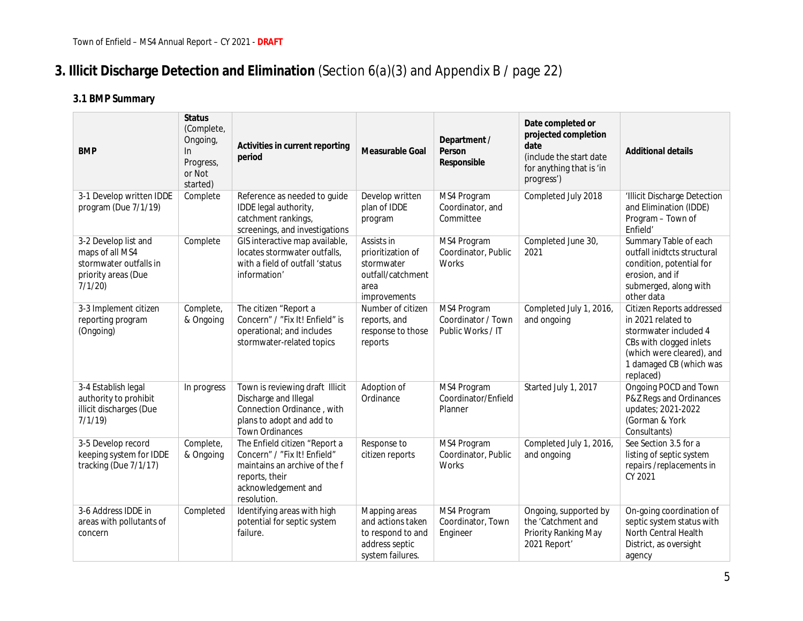# **3. Illicit Discharge Detection and Elimination** (Section 6(*a*)(3) and Appendix B / page 22)

| <b>BMP</b>                                                                                         | <b>Status</b><br>(Complete,<br>Ongoing,<br>$\ln$<br>Progress,<br>or Not<br>started) | Activities in current reporting<br>period                                                                                                              | Measurable Goal                                                                               | Department /<br>Person<br>Responsible                  | Date completed or<br>projected completion<br>date<br>(include the start date<br>for anything that is 'in<br>progress') | <b>Additional details</b>                                                                                                                                                |
|----------------------------------------------------------------------------------------------------|-------------------------------------------------------------------------------------|--------------------------------------------------------------------------------------------------------------------------------------------------------|-----------------------------------------------------------------------------------------------|--------------------------------------------------------|------------------------------------------------------------------------------------------------------------------------|--------------------------------------------------------------------------------------------------------------------------------------------------------------------------|
| 3-1 Develop written IDDE<br>program (Due 7/1/19)                                                   | Complete                                                                            | Reference as needed to guide<br>IDDE legal authority,<br>catchment rankings,<br>screenings, and investigations                                         | Develop written<br>plan of IDDE<br>program                                                    | MS4 Program<br>Coordinator, and<br>Committee           | Completed July 2018                                                                                                    | 'Illicit Discharge Detection<br>and Elimination (IDDE)<br>Program - Town of<br>Enfield'                                                                                  |
| 3-2 Develop list and<br>maps of all MS4<br>stormwater outfalls in<br>priority areas (Due<br>7/1/20 | Complete                                                                            | GIS interactive map available,<br>locates stormwater outfalls,<br>with a field of outfall 'status<br>information'                                      | Assists in<br>prioritization of<br>stormwater<br>outfall/catchment<br>area<br>improvements    | MS4 Program<br>Coordinator, Public<br>Works            | Completed June 30,<br>2021                                                                                             | Summary Table of each<br>outfall inidtcts structural<br>condition, potential for<br>erosion, and if<br>submerged, along with<br>other data                               |
| 3-3 Implement citizen<br>reporting program<br>(Ongoing)                                            | Complete,<br>& Ongoing                                                              | The citizen "Report a<br>Concern" / "Fix It! Enfield" is<br>operational; and includes<br>stormwater-related topics                                     | Number of citizen<br>reports, and<br>response to those<br>reports                             | MS4 Program<br>Coordinator / Town<br>Public Works / IT | Completed July 1, 2016,<br>and ongoing                                                                                 | Citizen Reports addressed<br>in 2021 related to<br>stormwater included 4<br>CBs with clogged inlets<br>(which were cleared), and<br>1 damaged CB (which was<br>replaced) |
| 3-4 Establish legal<br>authority to prohibit<br>illicit discharges (Due<br>7/1/19                  | In progress                                                                         | Town is reviewing draft Illicit<br>Discharge and Illegal<br>Connection Ordinance, with<br>plans to adopt and add to<br><b>Town Ordinances</b>          | Adoption of<br>Ordinance                                                                      | MS4 Program<br>Coordinator/Enfield<br>Planner          | Started July 1, 2017                                                                                                   | Ongoing POCD and Town<br>P&Z Regs and Ordinances<br>updates; 2021-2022<br>(Gorman & York<br>Consultants)                                                                 |
| 3-5 Develop record<br>keeping system for IDDE<br>tracking (Due 7/1/17)                             | Complete,<br>& Ongoing                                                              | The Enfield citizen "Report a<br>Concern" / "Fix It! Enfield"<br>maintains an archive of the f<br>reports, their<br>acknowledgement and<br>resolution. | Response to<br>citizen reports                                                                | MS4 Program<br>Coordinator, Public<br><b>Works</b>     | Completed July 1, 2016,<br>and ongoing                                                                                 | See Section 3.5 for a<br>listing of septic system<br>repairs/replacements in<br>CY 2021                                                                                  |
| 3-6 Address IDDE in<br>areas with pollutants of<br>concern                                         | Completed                                                                           | Identifying areas with high<br>potential for septic system<br>failure.                                                                                 | Mapping areas<br>and actions taken<br>to respond to and<br>address septic<br>system failures. | MS4 Program<br>Coordinator, Town<br>Engineer           | Ongoing, supported by<br>the 'Catchment and<br>Priority Ranking May<br>2021 Report                                     | On-going coordination of<br>septic system status with<br>North Central Health<br>District, as oversight<br>agency                                                        |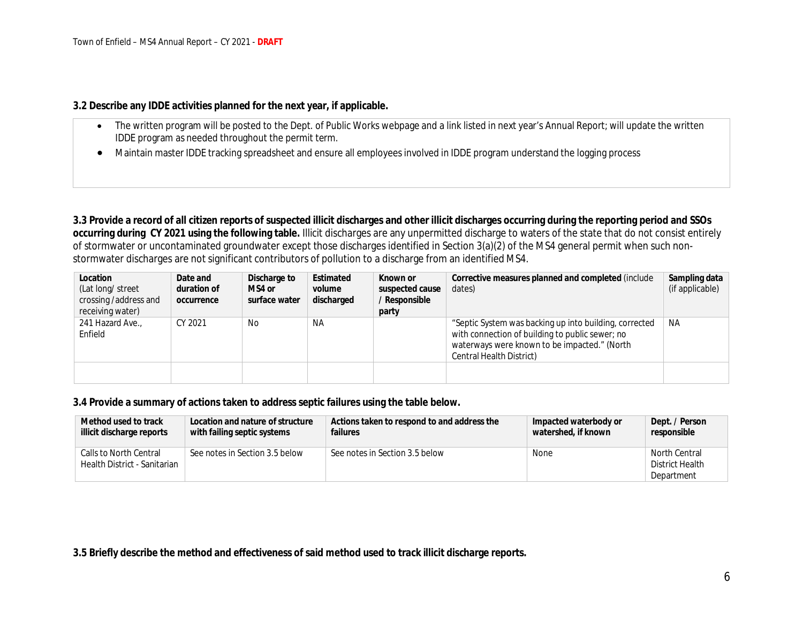**3.2 Describe any IDDE activities planned for the next year, if applicable.**

- The written program will be posted to the Dept. of Public Works webpage and a link listed in next year's Annual Report; will update the written IDDE program as needed throughout the permit term.
- Maintain master IDDE tracking spreadsheet and ensure all employees involved in IDDE program understand the logging process

**3.3 Provide a record of all citizen reports of suspected illicit discharges and other illicit discharges occurring during the reporting period and SSOs occurring during CY 2021 using the following table.** Illicit discharges are any unpermitted discharge to waters of the state that do not consist entirely of stormwater or uncontaminated groundwater except those discharges identified in Section 3(a)(2) of the MS4 general permit when such nonstormwater discharges are not significant contributors of pollution to a discharge from an identified MS4.

| Location               | Date and    | Discharge to  | Estimated  | Known or        | Corrective measures planned and completed (include     | Sampling data   |
|------------------------|-------------|---------------|------------|-----------------|--------------------------------------------------------|-----------------|
| (Lat long/ street      | duration of | MS4 or        | volume     | suspected cause | dates)                                                 | (if applicable) |
| crossing / address and | occurrence  | surface water | discharged | / Responsible   |                                                        |                 |
| receiving water)       |             |               |            | party           |                                                        |                 |
| 241 Hazard Ave.,       | CY 2021     | No            | ΝA         |                 | "Septic System was backing up into building, corrected | NA              |
| Enfield                |             |               |            |                 | with connection of building to public sewer; no        |                 |
|                        |             |               |            |                 | waterways were known to be impacted." (North           |                 |
|                        |             |               |            |                 | Central Health District)                               |                 |
|                        |             |               |            |                 |                                                        |                 |
|                        |             |               |            |                 |                                                        |                 |

**3.4 Provide a summary of actions taken to address septic failures using the table below.**

| Method used to track                                   | Location and nature of structure | Actions taken to respond to and address the | Impacted waterbody or | Dept. / Person                                 |
|--------------------------------------------------------|----------------------------------|---------------------------------------------|-----------------------|------------------------------------------------|
| illicit discharge reports                              | with failing septic systems      | failures                                    | watershed, if known   | responsible                                    |
| Calls to North Central<br>Health District - Sanitarian | See notes in Section 3.5 below   | See notes in Section 3.5 below              | None                  | North Central<br>District Health<br>Department |

**3.5 Briefly describe the method and effectiveness of said method used to track illicit discharge reports.**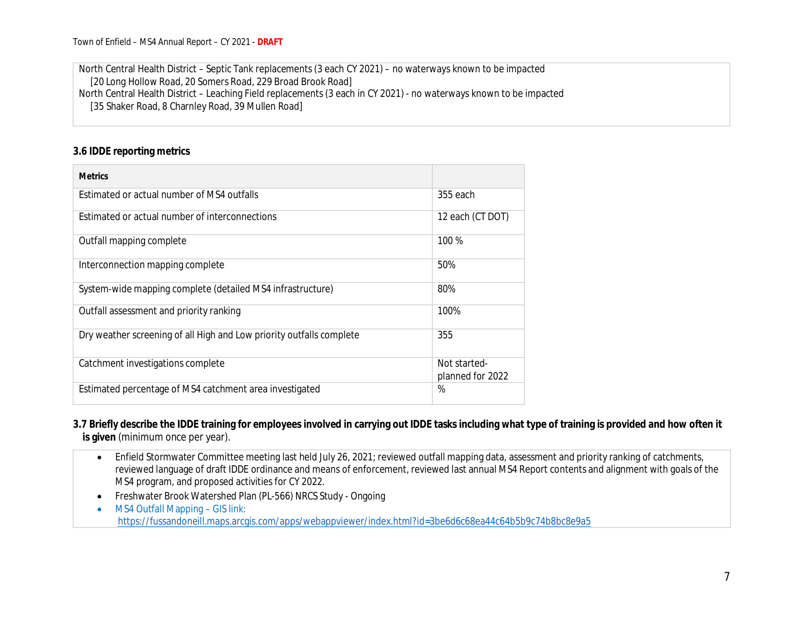North Central Health District – Septic Tank replacements (3 each CY 2021) – no waterways known to be impacted [20 Long Hollow Road, 20 Somers Road, 229 Broad Brook Road] North Central Health District – Leaching Field replacements (3 each in CY 2021) - no waterways known to be impacted [35 Shaker Road, 8 Charnley Road, 39 Mullen Road]

#### **3.6 IDDE reporting metrics**

| <b>Metrics</b>                                                       |                                  |
|----------------------------------------------------------------------|----------------------------------|
| Estimated or actual number of MS4 outfalls                           | 355 each                         |
| Estimated or actual number of interconnections                       | 12 each (CT DOT)                 |
| Outfall mapping complete                                             | 100 %                            |
| Interconnection mapping complete                                     | 50%                              |
| System-wide mapping complete (detailed MS4 infrastructure)           | 80%                              |
| Outfall assessment and priority ranking                              | 100%                             |
| Dry weather screening of all High and Low priority outfalls complete | 355                              |
| Catchment investigations complete                                    | Not started-<br>planned for 2022 |
| Estimated percentage of MS4 catchment area investigated              | %                                |

**3.7 Briefly describe the IDDE training for employees involved in carrying out IDDE tasks including what type of training is provided and how often it is given** (minimum once per year).

- Enfield Stormwater Committee meeting last held July 26, 2021; reviewed outfall mapping data, assessment and priority ranking of catchments, reviewed language of draft IDDE ordinance and means of enforcement, reviewed last annual MS4 Report contents and alignment with goals of the MS4 program, and proposed activities for CY 2022.
- Freshwater Brook Watershed Plan (PL-566) NRCS Study Ongoing
- MS4 Outfall Mapping GIS link:

https://fussandoneill.maps.arcgis.com/apps/webappviewer/index.html?id=3be6d6c68ea44c64b5b9c74b8bc8e9a5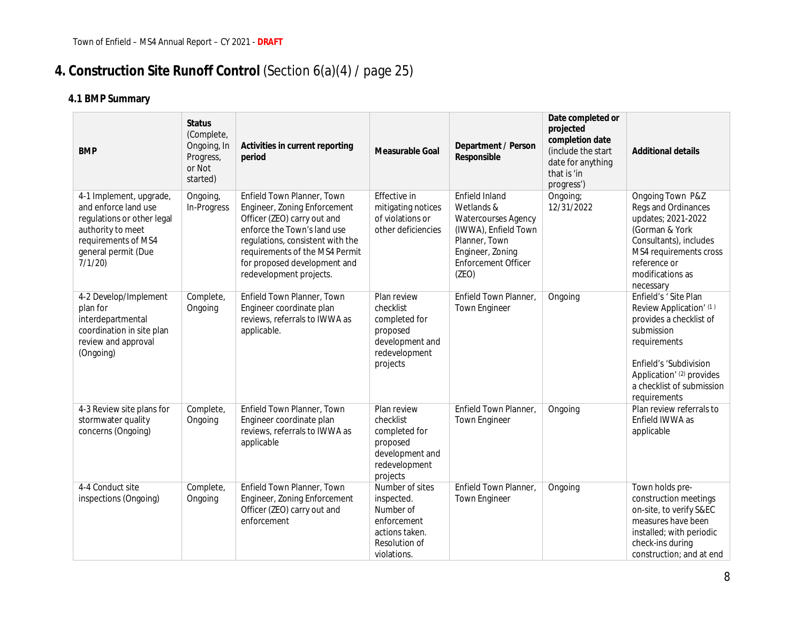# **4. Construction Site Runoff Control** (Section 6(a)(4) / page 25)

| <b>BMP</b>                                                                                                                                                 | <b>Status</b><br>(Complete,<br>Ongoing, In<br>Progress,<br>or Not<br>started) | Activities in current reporting<br>period                                                                                                                                                                                                                 | Measurable Goal                                                                                             | Department / Person<br>Responsible                                                                                                               | Date completed or<br>projected<br>completion date<br>(include the start<br>date for anything<br>that is 'in<br>progress') | <b>Additional details</b>                                                                                                                                                                                    |
|------------------------------------------------------------------------------------------------------------------------------------------------------------|-------------------------------------------------------------------------------|-----------------------------------------------------------------------------------------------------------------------------------------------------------------------------------------------------------------------------------------------------------|-------------------------------------------------------------------------------------------------------------|--------------------------------------------------------------------------------------------------------------------------------------------------|---------------------------------------------------------------------------------------------------------------------------|--------------------------------------------------------------------------------------------------------------------------------------------------------------------------------------------------------------|
| 4-1 Implement, upgrade,<br>and enforce land use<br>regulations or other legal<br>authority to meet<br>requirements of MS4<br>general permit (Due<br>7/1/20 | Ongoing,<br>In-Progress                                                       | Enfield Town Planner, Town<br>Engineer, Zoning Enforcement<br>Officer (ZEO) carry out and<br>enforce the Town's land use<br>regulations, consistent with the<br>requirements of the MS4 Permit<br>for proposed development and<br>redevelopment projects. | Effective in<br>mitigating notices<br>of violations or<br>other deficiencies                                | Enfield Inland<br>Wetlands &<br>Watercourses Agency<br>(IWWA), Enfield Town<br>Planner, Town<br>Engineer, Zoning<br>Enforcement Officer<br>(ZEO) | Ongoing;<br>12/31/2022                                                                                                    | Ongoing Town P&Z<br>Regs and Ordinances<br>updates; 2021-2022<br>(Gorman & York<br>Consultants), includes<br>MS4 requirements cross<br>reference or<br>modifications as<br>necessary                         |
| 4-2 Develop/Implement<br>plan for<br>interdepartmental<br>coordination in site plan<br>review and approval<br>(Ongoing)                                    | Complete,<br>Ongoing                                                          | Enfield Town Planner, Town<br>Engineer coordinate plan<br>reviews, referrals to IWWA as<br>applicable.                                                                                                                                                    | Plan review<br>checklist<br>completed for<br>proposed<br>development and<br>redevelopment<br>projects       | Enfield Town Planner,<br><b>Town Engineer</b>                                                                                                    | Ongoing                                                                                                                   | Enfield's 'Site Plan<br>Review Application' (1)<br>provides a checklist of<br>submission<br>requirements<br>Enfield's 'Subdivision<br>Application' (2) provides<br>a checklist of submission<br>requirements |
| 4-3 Review site plans for<br>stormwater quality<br>concerns (Ongoing)                                                                                      | Complete,<br>Ongoing                                                          | Enfield Town Planner, Town<br>Engineer coordinate plan<br>reviews, referrals to IWWA as<br>applicable                                                                                                                                                     | Plan review<br>checklist<br>completed for<br>proposed<br>development and<br>redevelopment<br>projects       | Enfield Town Planner,<br><b>Town Engineer</b>                                                                                                    | Ongoing                                                                                                                   | Plan review referrals to<br>Enfield IWWA as<br>applicable                                                                                                                                                    |
| 4-4 Conduct site<br>inspections (Ongoing)                                                                                                                  | Complete,<br>Ongoing                                                          | Enfield Town Planner, Town<br>Engineer, Zoning Enforcement<br>Officer (ZEO) carry out and<br>enforcement                                                                                                                                                  | Number of sites<br>inspected.<br>Number of<br>enforcement<br>actions taken.<br>Resolution of<br>violations. | Enfield Town Planner,<br><b>Town Engineer</b>                                                                                                    | Ongoing                                                                                                                   | Town holds pre-<br>construction meetings<br>on-site, to verify S&EC<br>measures have been<br>installed; with periodic<br>check-ins during<br>construction; and at end                                        |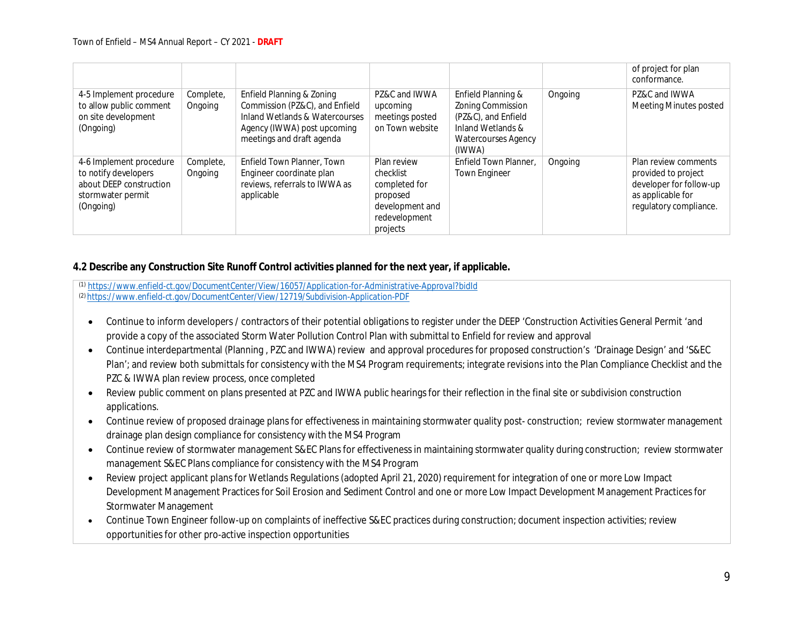|                                                                                                              |                      |                                                                                                                                                           |                                                                                                       |                                                                                                                             |         | of project for plan<br>conformance.                                                                                   |
|--------------------------------------------------------------------------------------------------------------|----------------------|-----------------------------------------------------------------------------------------------------------------------------------------------------------|-------------------------------------------------------------------------------------------------------|-----------------------------------------------------------------------------------------------------------------------------|---------|-----------------------------------------------------------------------------------------------------------------------|
| 4-5 Implement procedure<br>to allow public comment<br>on site development<br>(Ongoing)                       | Complete,<br>Ongoing | Enfield Planning & Zoning<br>Commission (PZ&C), and Enfield<br>Inland Wetlands & Watercourses<br>Agency (IWWA) post upcoming<br>meetings and draft agenda | PZ&C and IWWA<br>upcoming<br>meetings posted<br>on Town website                                       | Enfield Planning &<br>Zoning Commission<br>(PZ&C), and Enfield<br>Inland Wetlands &<br><b>Watercourses Agency</b><br>(IWWA) | Ongoing | PZ&C and IWWA<br><b>Meeting Minutes posted</b>                                                                        |
| 4-6 Implement procedure<br>to notify developers<br>about DEEP construction<br>stormwater permit<br>(Ongoing) | Complete,<br>Ongoing | Enfield Town Planner, Town<br>Engineer coordinate plan<br>reviews, referrals to IWWA as<br>applicable                                                     | Plan review<br>checklist<br>completed for<br>proposed<br>development and<br>redevelopment<br>projects | Enfield Town Planner.<br><b>Town Engineer</b>                                                                               | Ongoing | Plan review comments<br>provided to project<br>developer for follow-up<br>as applicable for<br>regulatory compliance. |

**4.2 Describe any Construction Site Runoff Control activities planned for the next year, if applicable.**

*(1) https://www.enfield-ct.gov/DocumentCenter/View/16057/Application-for-Administrative-Approval?bidId (2) https://www.enfield-ct.gov/DocumentCenter/View/12719/Subdivision-Application-PDF*

- Continue to inform developers / contractors of their potential obligations to register under the DEEP 'Construction Activities General Permit 'and provide a copy of the associated Storm Water Pollution Control Plan with submittal to Enfield for review and approval
- Continue interdepartmental (Planning , PZC and IWWA) review and approval procedures for proposed construction's 'Drainage Design' and 'S&EC Plan'; and review both submittals for consistency with the MS4 Program requirements; integrate revisions into the Plan Compliance Checklist and the PZC & IWWA plan review process, once completed
- Review public comment on plans presented at PZC and IWWA public hearings for their reflection in the final site or subdivision construction applications.
- Continue review of proposed drainage plans for effectiveness in maintaining stormwater quality post- construction; review stormwater management drainage plan design compliance for consistency with the MS4 Program
- Continue review of stormwater management S&EC Plans for effectiveness in maintaining stormwater quality during construction; review stormwater management S&EC Plans compliance for consistency with the MS4 Program
- Review project applicant plans for Wetlands Regulations (adopted April 21, 2020) requirement for integration of one or more Low Impact Development Management Practices for Soil Erosion and Sediment Control and one or more Low Impact Development Management Practices for Stormwater Management
- Continue Town Engineer follow-up on complaints of ineffective S&EC practices during construction; document inspection activities; review opportunities for other pro-active inspection opportunities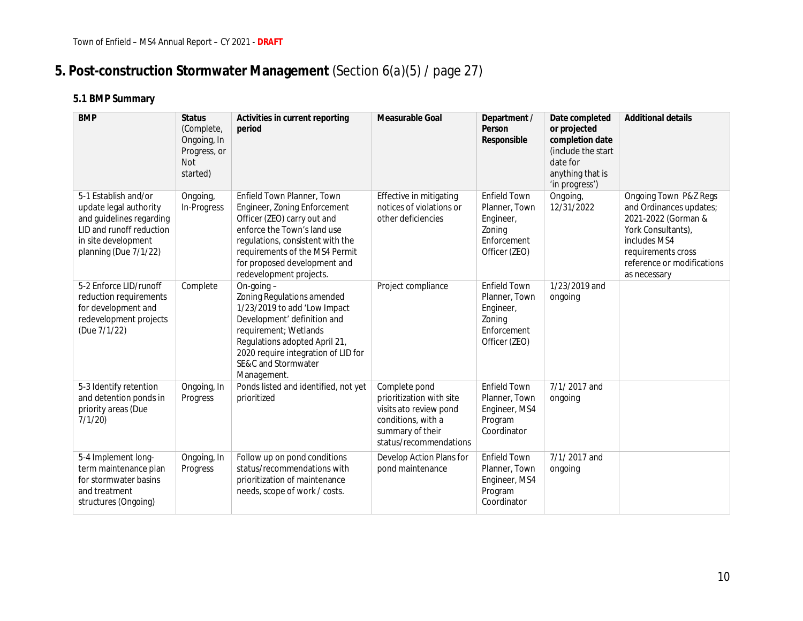# **5. Post-construction Stormwater Management** (Section 6(*a*)(5) / page 27)

| <b>BMP</b>                                                                                                                                             | Status<br>(Complete,<br>Ongoing, In<br>Progress, or<br><b>Not</b><br>started) | Activities in current reporting<br>period                                                                                                                                                                                                                 | Measurable Goal                                                                                                                         | Department /<br>Person<br>Responsible                                                       | Date completed<br>or projected<br>completion date<br>(include the start<br>date for<br>anything that is<br>'in progress') | <b>Additional details</b>                                                                                                                                                         |
|--------------------------------------------------------------------------------------------------------------------------------------------------------|-------------------------------------------------------------------------------|-----------------------------------------------------------------------------------------------------------------------------------------------------------------------------------------------------------------------------------------------------------|-----------------------------------------------------------------------------------------------------------------------------------------|---------------------------------------------------------------------------------------------|---------------------------------------------------------------------------------------------------------------------------|-----------------------------------------------------------------------------------------------------------------------------------------------------------------------------------|
| 5-1 Establish and/or<br>update legal authority<br>and guidelines regarding<br>LID and runoff reduction<br>in site development<br>planning (Due 7/1/22) | Ongoing,<br>In-Progress                                                       | Enfield Town Planner, Town<br>Engineer, Zoning Enforcement<br>Officer (ZEO) carry out and<br>enforce the Town's land use<br>regulations, consistent with the<br>requirements of the MS4 Permit<br>for proposed development and<br>redevelopment projects. | Effective in mitigating<br>notices of violations or<br>other deficiencies                                                               | <b>Enfield Town</b><br>Planner, Town<br>Engineer,<br>Zoning<br>Enforcement<br>Officer (ZEO) | Ongoing,<br>12/31/2022                                                                                                    | Ongoing Town P&Z Regs<br>and Ordinances updates;<br>2021-2022 (Gorman &<br>York Consultants),<br>includes MS4<br>requirements cross<br>reference or modifications<br>as necessary |
| 5-2 Enforce LID/runoff<br>reduction requirements<br>for development and<br>redevelopment projects<br>(Due 7/1/22)                                      | Complete                                                                      | On-going $-$<br>Zoning Regulations amended<br>1/23/2019 to add 'Low Impact<br>Development' definition and<br>requirement; Wetlands<br>Regulations adopted April 21,<br>2020 require integration of LID for<br>SE&C and Stormwater<br>Management.          | Project compliance                                                                                                                      | <b>Enfield Town</b><br>Planner, Town<br>Engineer,<br>Zoning<br>Enforcement<br>Officer (ZEO) | 1/23/2019 and<br>ongoing                                                                                                  |                                                                                                                                                                                   |
| 5-3 Identify retention<br>and detention ponds in<br>priority areas (Due<br>7/1/20                                                                      | Ongoing, In<br>Progress                                                       | Ponds listed and identified, not yet<br>prioritized                                                                                                                                                                                                       | Complete pond<br>prioritization with site<br>visits ato review pond<br>conditions, with a<br>summary of their<br>status/recommendations | <b>Enfield Town</b><br>Planner, Town<br>Engineer, MS4<br>Program<br>Coordinator             | 7/1/2017 and<br>ongoing                                                                                                   |                                                                                                                                                                                   |
| 5-4 Implement long-<br>term maintenance plan<br>for stormwater basins<br>and treatment<br>structures (Ongoing)                                         | Ongoing, In<br>Progress                                                       | Follow up on pond conditions<br>status/recommendations with<br>prioritization of maintenance<br>needs, scope of work / costs.                                                                                                                             | Develop Action Plans for<br>pond maintenance                                                                                            | <b>Enfield Town</b><br>Planner, Town<br>Engineer, MS4<br>Program<br>Coordinator             | 7/1/2017 and<br>ongoing                                                                                                   |                                                                                                                                                                                   |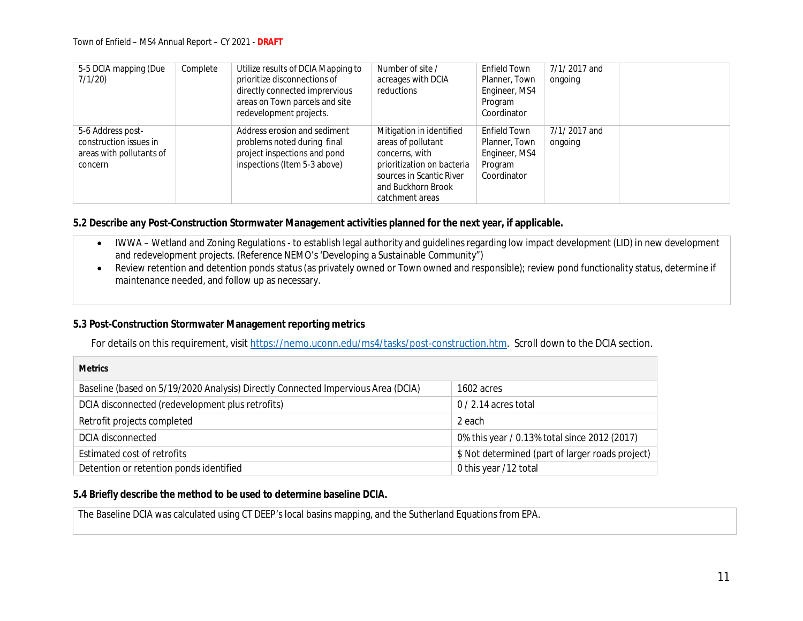| 5-5 DCIA mapping (Due<br>7/1/20)                                                   | Complete | Utilize results of DCIA Mapping to<br>prioritize disconnections of<br>directly connected imprervious<br>areas on Town parcels and site<br>redevelopment projects. | Number of site /<br>acreages with DCIA<br>reductions                                                                                                                | Enfield Town<br>Planner, Town<br>Engineer, MS4<br>Program<br>Coordinator | 7/1/2017 and<br>ongoing |  |
|------------------------------------------------------------------------------------|----------|-------------------------------------------------------------------------------------------------------------------------------------------------------------------|---------------------------------------------------------------------------------------------------------------------------------------------------------------------|--------------------------------------------------------------------------|-------------------------|--|
| 5-6 Address post-<br>construction issues in<br>areas with pollutants of<br>concern |          | Address erosion and sediment<br>problems noted during final<br>project inspections and pond<br>inspections (Item 5-3 above)                                       | Mitigation in identified<br>areas of pollutant<br>concerns, with<br>prioritization on bacteria<br>sources in Scantic River<br>and Buckhorn Brook<br>catchment areas | Enfield Town<br>Planner, Town<br>Engineer, MS4<br>Program<br>Coordinator | 7/1/2017 and<br>ongoing |  |

**5.2 Describe any Post-Construction Stormwater Management activities planned for the next year, if applicable.**

- IWWA Wetland and Zoning Regulations to establish legal authority and guidelines regarding low impact development (LID) in new development and redevelopment projects. (Reference NEMO's 'Developing a Sustainable Community")
- Review retention and detention ponds status (as privately owned or Town owned and responsible); review pond functionality status, determine if maintenance needed, and follow up as necessary.

### **5.3 Post-Construction Stormwater Management reporting metrics**

For details on this requirement, visit https://nemo.uconn.edu/ms4/tasks/post-construction.htm. Scroll down to the DCIA section.

| <b>Metrics</b>                                                                   |                                                  |
|----------------------------------------------------------------------------------|--------------------------------------------------|
| Baseline (based on 5/19/2020 Analysis) Directly Connected Impervious Area (DCIA) | 1602 acres                                       |
| DCIA disconnected (redevelopment plus retrofits)                                 | $0/2.14$ acres total                             |
| Retrofit projects completed                                                      | 2 each                                           |
| DCIA disconnected                                                                | 0% this year / 0.13% total since 2012 (2017)     |
| Estimated cost of retrofits                                                      | \$ Not determined (part of larger roads project) |
| Detention or retention ponds identified                                          | 0 this year /12 total                            |

**5.4 Briefly describe the method to be used to determine baseline DCIA.**

The Baseline DCIA was calculated using CT DEEP's local basins mapping, and the Sutherland Equations from EPA.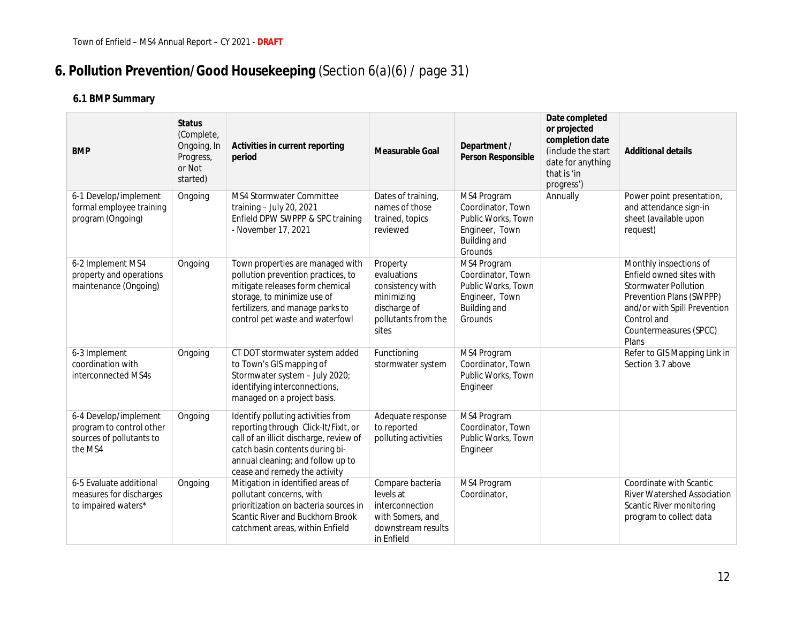# **6. Pollution Prevention/Good Housekeeping** (Section 6(*a*)(6) / page 31)

| <b>BMP</b>                                                                               | <b>Status</b><br>(Complete,<br>Ongoing, In<br>Progress,<br>or Not<br>started) | Activities in current reporting<br>period                                                                                                                                                                                      | Measurable Goal                                                                                           | Department /<br>Person Responsible                                                                  | Date completed<br>or projected<br>completion date<br>(include the start<br>date for anything<br>that is 'in<br>progress') | <b>Additional details</b>                                                                                                                                                                       |
|------------------------------------------------------------------------------------------|-------------------------------------------------------------------------------|--------------------------------------------------------------------------------------------------------------------------------------------------------------------------------------------------------------------------------|-----------------------------------------------------------------------------------------------------------|-----------------------------------------------------------------------------------------------------|---------------------------------------------------------------------------------------------------------------------------|-------------------------------------------------------------------------------------------------------------------------------------------------------------------------------------------------|
| 6-1 Develop/implement<br>formal employee training<br>program (Ongoing)                   | Ongoing                                                                       | MS4 Stormwater Committee<br>training - July 20, 2021<br>Enfield DPW SWPPP & SPC training<br>- November 17, 2021                                                                                                                | Dates of training,<br>names of those<br>trained, topics<br>reviewed                                       | MS4 Program<br>Coordinator, Town<br>Public Works, Town<br>Engineer, Town<br>Building and<br>Grounds | Annually                                                                                                                  | Power point presentation,<br>and attendance sign-in<br>sheet (available upon<br>request)                                                                                                        |
| 6-2 Implement MS4<br>property and operations<br>maintenance (Ongoing)                    | Ongoing                                                                       | Town properties are managed with<br>pollution prevention practices, to<br>mitigate releases form chemical<br>storage, to minimize use of<br>fertilizers, and manage parks to<br>control pet waste and waterfowl                | Property<br>evaluations<br>consistency with<br>minimizing<br>discharge of<br>pollutants from the<br>sites | MS4 Program<br>Coordinator, Town<br>Public Works, Town<br>Engineer, Town<br>Building and<br>Grounds |                                                                                                                           | Monthly inspections of<br>Enfield owned sites with<br><b>Stormwater Pollution</b><br>Prevention Plans (SWPPP)<br>and/or with Spill Prevention<br>Control and<br>Countermeasures (SPCC)<br>Plans |
| 6-3 Implement<br>coordination with<br>interconnected MS4s                                | Ongoing                                                                       | CT DOT stormwater system added<br>to Town's GIS mapping of<br>Stormwater system - July 2020;<br>identifying interconnections,<br>managed on a project basis.                                                                   | Functioning<br>stormwater system                                                                          | MS4 Program<br>Coordinator, Town<br>Public Works, Town<br>Engineer                                  |                                                                                                                           | Refer to GIS Mapping Link in<br>Section 3.7 above                                                                                                                                               |
| 6-4 Develop/implement<br>program to control other<br>sources of pollutants to<br>the MS4 | Ongoing                                                                       | Identify polluting activities from<br>reporting through Click-It/FixIt, or<br>call of an illicit discharge, review of<br>catch basin contents during bi-<br>annual cleaning; and follow up to<br>cease and remedy the activity | Adequate response<br>to reported<br>polluting activities                                                  | MS4 Program<br>Coordinator, Town<br>Public Works, Town<br>Engineer                                  |                                                                                                                           |                                                                                                                                                                                                 |
| 6-5 Evaluate additional<br>measures for discharges<br>to impaired waters*                | Ongoing                                                                       | Mitigation in identified areas of<br>pollutant concerns, with<br>prioritization on bacteria sources in<br>Scantic River and Buckhorn Brook<br>catchment areas, within Enfield                                                  | Compare bacteria<br>levels at<br>interconnection<br>with Somers, and<br>downstream results<br>in Enfield  | MS4 Program<br>Coordinator,                                                                         |                                                                                                                           | Coordinate with Scantic<br><b>River Watershed Association</b><br>Scantic River monitoring<br>program to collect data                                                                            |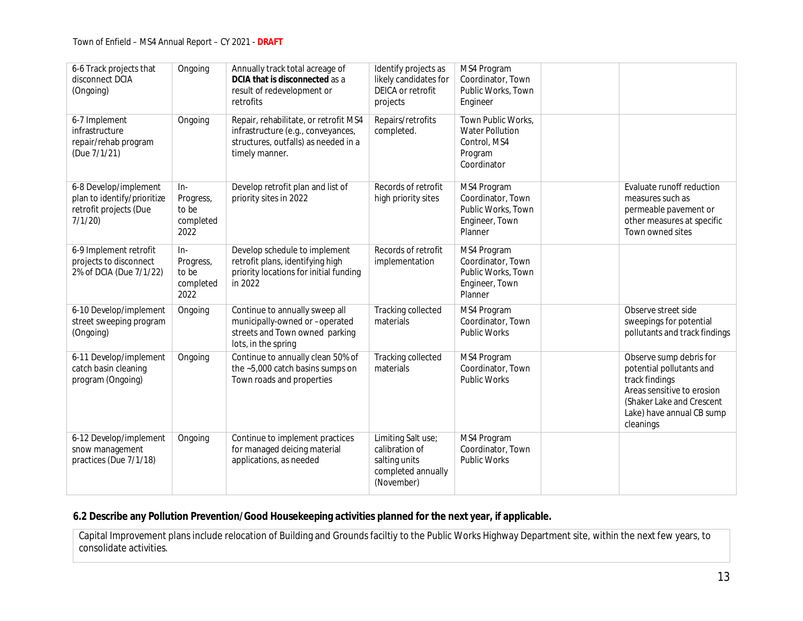| 6-6 Track projects that<br>disconnect DCIA<br>(Ongoing)                                  | Ongoing                                          | Annually track total acreage of<br>DCIA that is disconnected as a<br>result of redevelopment or<br>retrofits                          | Identify projects as<br>likely candidates for<br>DEICA or retrofit<br>projects            | MS4 Program<br>Coordinator, Town<br>Public Works, Town<br>Engineer                     |                                                                                                                                                                            |
|------------------------------------------------------------------------------------------|--------------------------------------------------|---------------------------------------------------------------------------------------------------------------------------------------|-------------------------------------------------------------------------------------------|----------------------------------------------------------------------------------------|----------------------------------------------------------------------------------------------------------------------------------------------------------------------------|
| 6-7 Implement<br>infrastructure<br>repair/rehab program<br>(Due 7/1/21)                  | Ongoing                                          | Repair, rehabilitate, or retrofit MS4<br>infrastructure (e.g., conveyances,<br>structures, outfalls) as needed in a<br>timely manner. | Repairs/retrofits<br>completed.                                                           | Town Public Works,<br><b>Water Pollution</b><br>Control, MS4<br>Program<br>Coordinator |                                                                                                                                                                            |
| 6-8 Develop/implement<br>plan to identify/prioritize<br>retrofit projects (Due<br>7/1/20 | In-<br>Progress,<br>to be<br>completed<br>2022   | Develop retrofit plan and list of<br>priority sites in 2022                                                                           | Records of retrofit<br>high priority sites                                                | MS4 Program<br>Coordinator, Town<br>Public Works, Town<br>Engineer, Town<br>Planner    | Evaluate runoff reduction<br>measures such as<br>permeable pavement or<br>other measures at specific<br>Town owned sites                                                   |
| 6-9 Implement retrofit<br>projects to disconnect<br>2% of DCIA (Due 7/1/22)              | $In-$<br>Progress,<br>to be<br>completed<br>2022 | Develop schedule to implement<br>retrofit plans, identifying high<br>priority locations for initial funding<br>in 2022                | Records of retrofit<br>implementation                                                     | MS4 Program<br>Coordinator, Town<br>Public Works, Town<br>Engineer, Town<br>Planner    |                                                                                                                                                                            |
| 6-10 Develop/implement<br>street sweeping program<br>(Ongoing)                           | Ongoing                                          | Continue to annually sweep all<br>municipally-owned or -operated<br>streets and Town owned parking<br>lots, in the spring             | <b>Tracking collected</b><br>materials                                                    | MS4 Program<br>Coordinator, Town<br><b>Public Works</b>                                | Observe street side<br>sweepings for potential<br>pollutants and track findings                                                                                            |
| 6-11 Develop/implement<br>catch basin cleaning<br>program (Ongoing)                      | Ongoing                                          | Continue to annually clean 50% of<br>the ~5,000 catch basins sumps on<br>Town roads and properties                                    | <b>Tracking collected</b><br>materials                                                    | MS4 Program<br>Coordinator, Town<br>Public Works                                       | Observe sump debris for<br>potential pollutants and<br>track findings<br>Areas sensitive to erosion<br>(Shaker Lake and Crescent<br>Lake) have annual CB sump<br>cleanings |
| 6-12 Develop/implement<br>snow management<br>practices (Due 7/1/18)                      | Ongoing                                          | Continue to implement practices<br>for managed deicing material<br>applications, as needed                                            | Limiting Salt use;<br>calibration of<br>salting units<br>completed annually<br>(November) | MS4 Program<br>Coordinator, Town<br><b>Public Works</b>                                |                                                                                                                                                                            |

**6.2 Describe any Pollution Prevention/Good Housekeeping activities planned for the next year, if applicable.**

Capital Improvement plans include relocation of Building and Grounds faciltiy to the Public Works Highway Department site, within the next few years, to consolidate activities.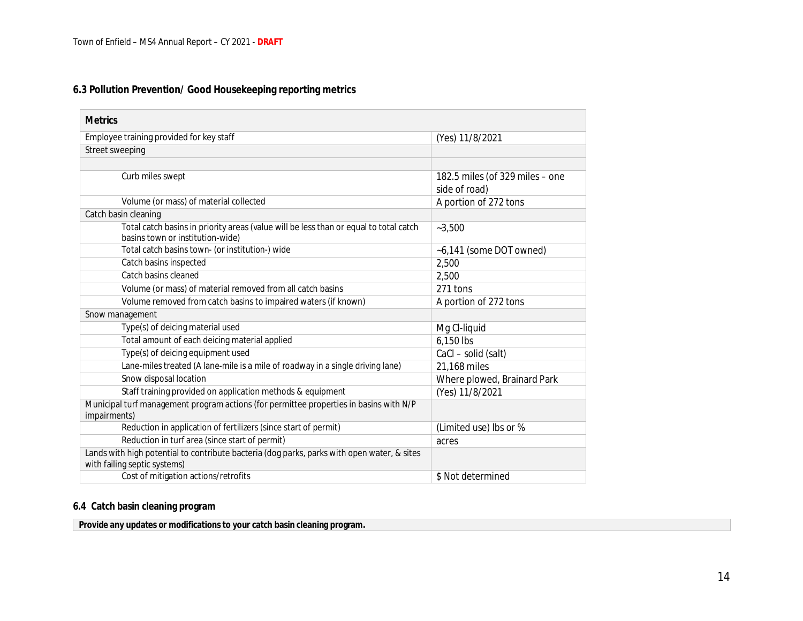### **6.3 Pollution Prevention/ Good Housekeeping reporting metrics**

| <b>Metrics</b>                                                                                                              |                                                  |
|-----------------------------------------------------------------------------------------------------------------------------|--------------------------------------------------|
| Employee training provided for key staff                                                                                    | (Yes) 11/8/2021                                  |
| Street sweeping                                                                                                             |                                                  |
|                                                                                                                             |                                                  |
| Curb miles swept                                                                                                            | 182.5 miles (of 329 miles - one<br>side of road) |
| Volume (or mass) of material collected                                                                                      | A portion of 272 tons                            |
| Catch basin cleaning                                                                                                        |                                                  |
| Total catch basins in priority areas (value will be less than or equal to total catch<br>basins town or institution-wide)   | $-3,500$                                         |
| Total catch basins town- (or institution-) wide                                                                             | ~6,141 (some DOT owned)                          |
| Catch basins inspected                                                                                                      | 2,500                                            |
| Catch basins cleaned                                                                                                        | 2,500                                            |
| Volume (or mass) of material removed from all catch basins                                                                  | 271 tons                                         |
| Volume removed from catch basins to impaired waters (if known)                                                              | A portion of 272 tons                            |
| Snow management                                                                                                             |                                                  |
| Type(s) of deicing material used                                                                                            | Mg Cl-liquid                                     |
| Total amount of each deicing material applied                                                                               | 6,150 lbs                                        |
| Type(s) of deicing equipment used                                                                                           | CaCl - solid (salt)                              |
| Lane-miles treated (A lane-mile is a mile of roadway in a single driving lane)                                              | 21,168 miles                                     |
| Snow disposal location                                                                                                      | Where plowed, Brainard Park                      |
| Staff training provided on application methods & equipment                                                                  | (Yes) 11/8/2021                                  |
| Municipal turf management program actions (for permittee properties in basins with N/P<br>impairments)                      |                                                  |
| Reduction in application of fertilizers (since start of permit)                                                             | (Limited use) lbs or %                           |
| Reduction in turf area (since start of permit)                                                                              | acres                                            |
| Lands with high potential to contribute bacteria (dog parks, parks with open water, & sites<br>with failing septic systems) |                                                  |
| Cost of mitigation actions/retrofits                                                                                        | \$ Not determined                                |

#### **6.4 Catch basin cleaning program**

**Provide any updates or modifications to your catch basin cleaning program.**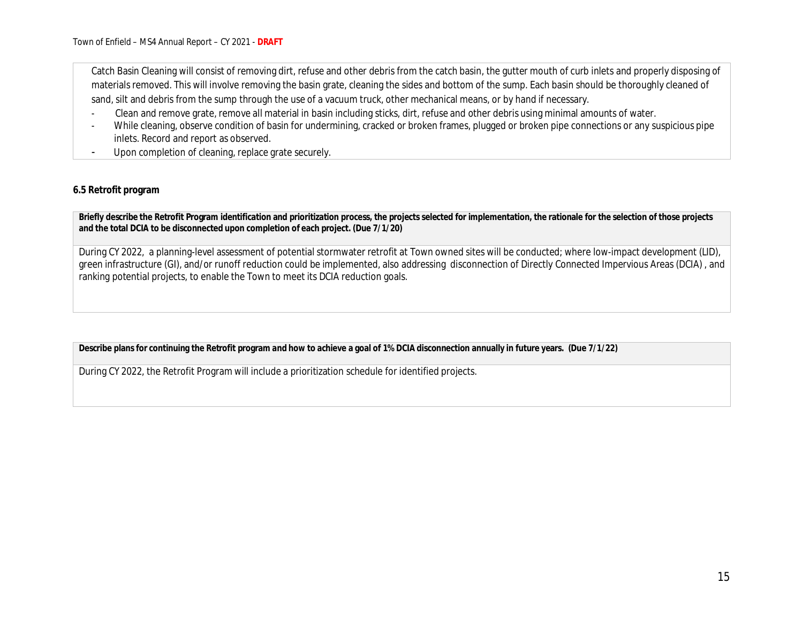Catch Basin Cleaning will consist of removing dirt, refuse and other debris from the catch basin, the gutter mouth of curb inlets and properly disposing of materials removed. This will involve removing the basin grate, cleaning the sides and bottom of the sump. Each basin should be thoroughly cleaned of sand, silt and debris from the sump through the use of a vacuum truck, other mechanical means, or by hand if necessary.

- Clean and remove grate, remove all material in basin including sticks, dirt, refuse and other debris using minimal amounts of water.
- While cleaning, observe condition of basin for undermining, cracked or broken frames, plugged or broken pipe connections or any suspicious pipe inlets. Record and report as observed.
- Upon completion of cleaning, replace grate securely.

#### **6.5 Retrofit program**

**Briefly describe the Retrofit Program identification and prioritization process, the projects selected for implementation, the rationale for the selection of those projects and the total DCIA to be disconnected upon completion of each project. (Due 7/1/20)**

During CY 2022, a planning-level assessment of potential stormwater retrofit at Town owned sites will be conducted; where low-impact development (LID), green infrastructure (GI), and/or runoff reduction could be implemented, also addressing disconnection of Directly Connected Impervious Areas (DCIA) , and ranking potential projects, to enable the Town to meet its DCIA reduction goals.

**Describe plans for continuing the Retrofit program and how to achieve a goal of 1% DCIA disconnection annually in future years. (Due 7/1/22)**

During CY 2022, the Retrofit Program will include a prioritization schedule for identified projects.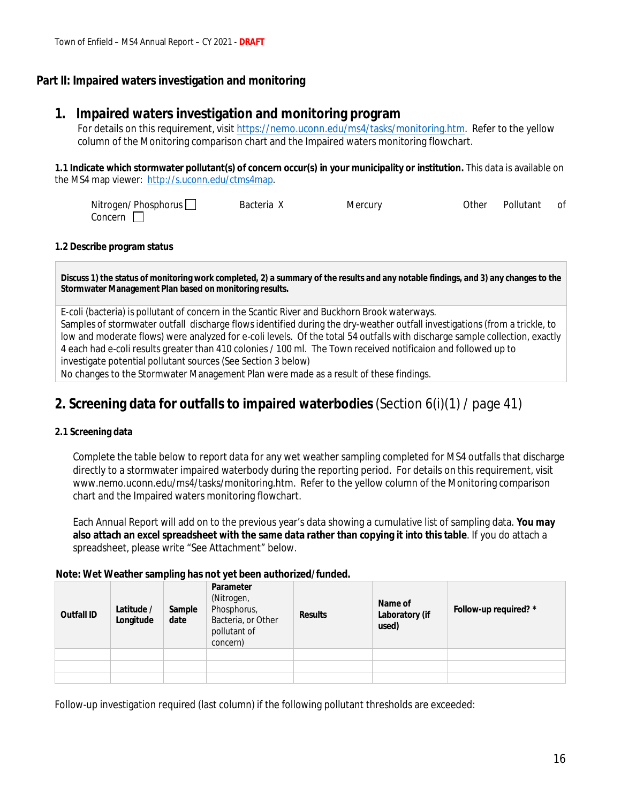### **Part II: Impaired waters investigation and monitoring**

## **1. Impaired waters investigation and monitoring program**

For details on this requirement, visit https://nemo.uconn.edu/ms4/tasks/monitoring.htm. Refer to the yellow column of the Monitoring comparison chart and the Impaired waters monitoring flowchart.

**1.1 Indicate which stormwater pollutant(s) of concern occur(s) in your municipality or institution.** This data is available on the MS4 map viewer: http://s.uconn.edu/ctms4map.

| Nitrogen/ Phosphorus [ | Bacteria X | Mercury | Other | Pollutant | 0f |
|------------------------|------------|---------|-------|-----------|----|
| Concern                |            |         |       |           |    |

#### **1.2 Describe program status**

**Discuss 1) the status of monitoring work completed, 2) a summary of the results and any notable findings, and 3) any changes to the Stormwater Management Plan based on monitoring results.**

E-coli (bacteria) is pollutant of concern in the Scantic River and Buckhorn Brook waterways. Samples of stormwater outfall discharge flows identified during the dry-weather outfall investigations (from a trickle, to low and moderate flows) were analyzed for e-coli levels. Of the total 54 outfalls with discharge sample collection, exactly 4 each had e-coli results greater than 410 colonies / 100 ml. The Town received notificaion and followed up to investigate potential pollutant sources (See Section 3 below) No changes to the Stormwater Management Plan were made as a result of these findings.

## **2. Screening data for outfalls to impaired waterbodies**(Section 6(i)(1) / page 41)

#### **2.1 Screening data**

Complete the table below to report data for any wet weather sampling completed for MS4 outfalls that discharge directly to a stormwater impaired waterbody during the reporting period. For details on this requirement, visit www.nemo.uconn.edu/ms4/tasks/monitoring.htm. Refer to the yellow column of the Monitoring comparison chart and the Impaired waters monitoring flowchart.

Each Annual Report will add on to the previous year's data showing a cumulative list of sampling data. **You may also attach an excel spreadsheet with the same data rather than copying it into this table**. If you do attach a spreadsheet, please write "See Attachment" below.

#### **Note: Wet Weather sampling has not yet been authorized/funded.**

| Outfall ID | Latitude /<br>Longitude | Sample<br>date | Parameter<br>(Nitrogen,<br>Phosphorus,<br>Bacteria, or Other<br>pollutant of<br>concern) | Results | Name of<br>Laboratory (if<br>used) | Follow-up required? * |
|------------|-------------------------|----------------|------------------------------------------------------------------------------------------|---------|------------------------------------|-----------------------|
|            |                         |                |                                                                                          |         |                                    |                       |
|            |                         |                |                                                                                          |         |                                    |                       |
|            |                         |                |                                                                                          |         |                                    |                       |

Follow-up investigation required (last column) if the following pollutant thresholds are exceeded: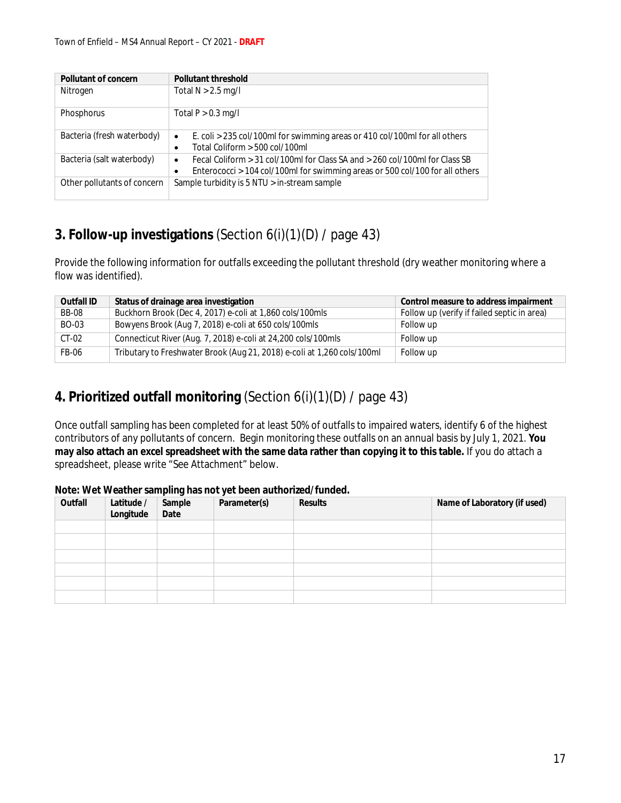| Pollutant of concern        | Pollutant threshold                                                                                                                                                          |  |  |  |  |  |
|-----------------------------|------------------------------------------------------------------------------------------------------------------------------------------------------------------------------|--|--|--|--|--|
| Nitrogen                    | Total $N > 2.5$ mg/l                                                                                                                                                         |  |  |  |  |  |
| Phosphorus                  | Total $P > 0.3$ mg/l                                                                                                                                                         |  |  |  |  |  |
| Bacteria (fresh waterbody)  | E. coli > 235 col/100ml for swimming areas or 410 col/100ml for all others<br>$\bullet$<br>Total Coliform $>$ 500 col/100ml                                                  |  |  |  |  |  |
| Bacteria (salt waterbody)   | Fecal Coliform $> 31$ col/100ml for Class SA and $> 260$ col/100ml for Class SB<br>$\bullet$<br>Enterococci > 104 col/100ml for swimming areas or 500 col/100 for all others |  |  |  |  |  |
| Other pollutants of concern | Sample turbidity is 5 NTU > in-stream sample                                                                                                                                 |  |  |  |  |  |

## **3. Follow-up investigations** (Section 6(i)(1)(D) / page 43)

Provide the following information for outfalls exceeding the pollutant threshold (dry weather monitoring where a flow was identified).

| Outfall ID | Status of drainage area investigation                                   | Control measure to address impairment       |
|------------|-------------------------------------------------------------------------|---------------------------------------------|
| BB-08      | Buckhorn Brook (Dec 4, 2017) e-coli at 1,860 cols/100mls                | Follow up (verify if failed septic in area) |
| BO-03      | Bowyens Brook (Aug 7, 2018) e-coli at 650 cols/100mls                   | Follow up                                   |
| $CT-02$    | Connecticut River (Aug. 7, 2018) e-coli at 24,200 cols/100mls           | Follow up                                   |
| FB-06      | Tributary to Freshwater Brook (Aug 21, 2018) e-coli at 1,260 cols/100ml | Follow up                                   |

## **4. Prioritized outfall monitoring** (Section 6(i)(1)(D) / page 43)

Once outfall sampling has been completed for at least 50% of outfalls to impaired waters, identify 6 of the highest contributors of any pollutants of concern. Begin monitoring these outfalls on an annual basis by July 1, 2021. **You may also attach an excel spreadsheet with the same data rather than copying it to this table.** If you do attach a spreadsheet, please write "See Attachment" below.

| Outfall | Latitude / | Sample | Parameter(s) | Results | Name of Laboratory (if used) |
|---------|------------|--------|--------------|---------|------------------------------|
|         | Longitude  | Date   |              |         |                              |
|         |            |        |              |         |                              |
|         |            |        |              |         |                              |
|         |            |        |              |         |                              |
|         |            |        |              |         |                              |
|         |            |        |              |         |                              |
|         |            |        |              |         |                              |

### **Note: Wet Weather sampling has not yet been authorized/funded.**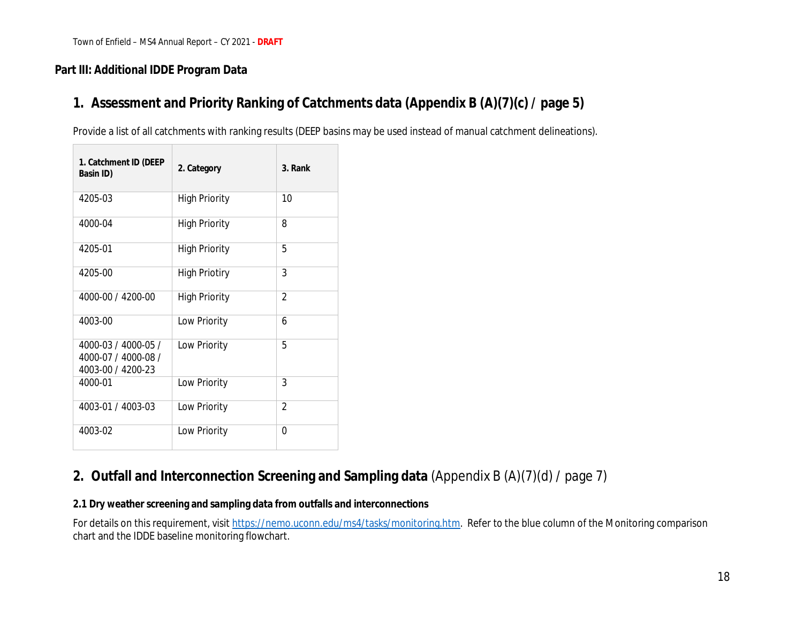### **Part III: Additional IDDE Program Data**

## **1. Assessment and Priority Ranking of Catchments data (Appendix B (A)(7)(c) / page 5)**

Provide a list of all catchments with ranking results (DEEP basins may be used instead of manual catchment delineations).

| 1. Catchment ID (DEEP<br>Basin ID)                              | 2. Category          | 3. Rank |
|-----------------------------------------------------------------|----------------------|---------|
| 4205-03                                                         | <b>High Priority</b> | 10      |
| 4000-04                                                         | <b>High Priority</b> | 8       |
| 4205-01                                                         | <b>High Priority</b> | 5       |
| 4205-00                                                         | <b>High Priotiry</b> | 3       |
| 4000-00 / 4200-00                                               | <b>High Priority</b> | 2       |
| 4003-00                                                         | Low Priority         | 6       |
| 4000-03 / 4000-05 /<br>4000-07 / 4000-08 /<br>4003-00 / 4200-23 | Low Priority         | 5       |
| 4000-01                                                         | Low Priority         | 3       |
| 4003-01 / 4003-03                                               | Low Priority         | 2       |
| 4003-02                                                         | Low Priority         | 0       |

## **2. Outfall and Interconnection Screening and Sampling data** (Appendix B (A)(7)(d) / page 7)

**2.1 Dry weather screening and sampling data from outfalls and interconnections**

For details on this requirement, visit https://nemo.uconn.edu/ms4/tasks/monitoring.htm. Refer to the blue column of the Monitoring comparison chart and the IDDE baseline monitoring flowchart.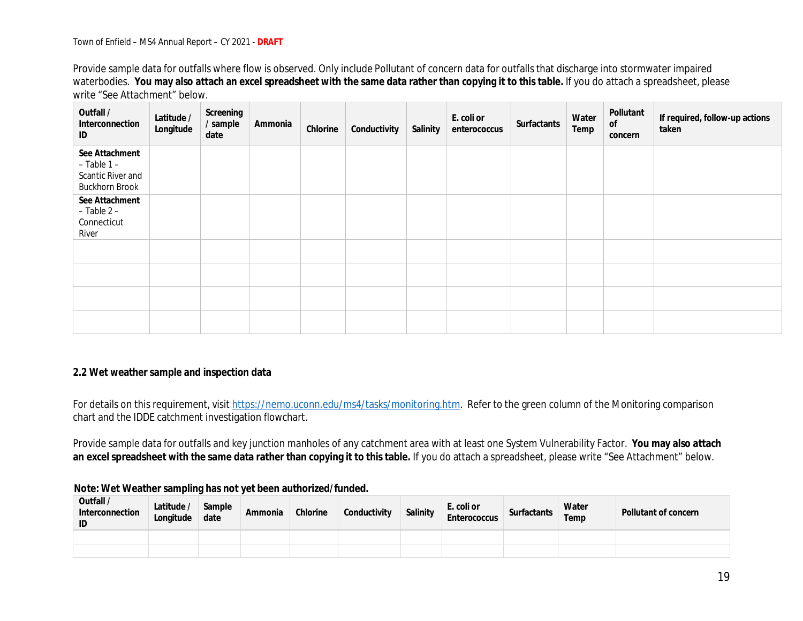Provide sample data for outfalls where flow is observed. Only include Pollutant of concern data for outfalls that discharge into stormwater impaired waterbodies. **You may also attach an excel spreadsheet with the same data rather than copying it to this table.** If you do attach a spreadsheet, please write "See Attachment" below.

| Outfall /<br>Interconnection<br>ID                                              | Latitude /<br>Longitude | Screening<br>/ sample<br>date | Ammonia | Chlorine | Conductivity | Salinity | E. coli or<br>enterococcus | Surfactants | Water<br>Temp | Pollutant<br>0f<br>concern | If required, follow-up actions<br>taken |
|---------------------------------------------------------------------------------|-------------------------|-------------------------------|---------|----------|--------------|----------|----------------------------|-------------|---------------|----------------------------|-----------------------------------------|
| See Attachment<br>$-$ Table 1 $-$<br>Scantic River and<br><b>Buckhorn Brook</b> |                         |                               |         |          |              |          |                            |             |               |                            |                                         |
| See Attachment<br>$-$ Table 2 $-$<br>Connecticut<br>River                       |                         |                               |         |          |              |          |                            |             |               |                            |                                         |
|                                                                                 |                         |                               |         |          |              |          |                            |             |               |                            |                                         |
|                                                                                 |                         |                               |         |          |              |          |                            |             |               |                            |                                         |
|                                                                                 |                         |                               |         |          |              |          |                            |             |               |                            |                                         |
|                                                                                 |                         |                               |         |          |              |          |                            |             |               |                            |                                         |

#### **2.2 Wet weather sample and inspection data**

For details on this requirement, visit https://nemo.uconn.edu/ms4/tasks/monitoring.htm. Refer to the green column of the Monitoring comparison chart and the IDDE catchment investigation flowchart.

Provide sample data for outfalls and key junction manholes of any catchment area with at least one System Vulnerability Factor. **You may also attach an excel spreadsheet with the same data rather than copying it to this table.** If you do attach a spreadsheet, please write "See Attachment" below.

| Outfall /<br>Interconnection<br>ID | Latitude /<br>Longitude | Sample<br>date | Ammonia | Chlorine | Conductivity | Salinity | E. coli or<br>Enterococcus | Surfactants | Water<br>Temp | Pollutant of concern |
|------------------------------------|-------------------------|----------------|---------|----------|--------------|----------|----------------------------|-------------|---------------|----------------------|
|                                    |                         |                |         |          |              |          |                            |             |               |                      |
|                                    |                         |                |         |          |              |          |                            |             |               |                      |

 **Note: Wet Weather sampling has not yet been authorized/funded.**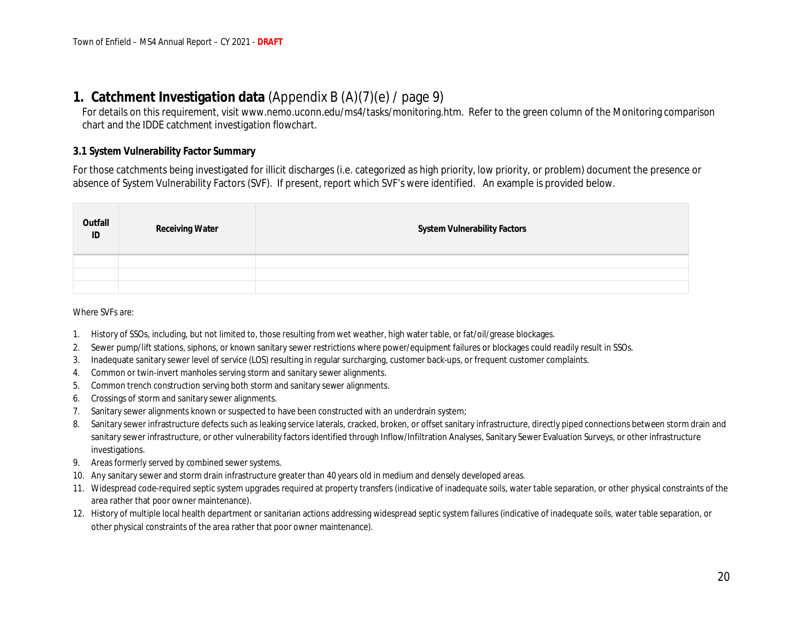## **1. Catchment Investigation data** (Appendix B (A)(7)(e) / page 9)

For details on this requirement, visit www.nemo.uconn.edu/ms4/tasks/monitoring.htm. Refer to the green column of the Monitoring comparison chart and the IDDE catchment investigation flowchart.

#### **3.1 System Vulnerability Factor Summary**

For those catchments being investigated for illicit discharges (i.e. categorized as high priority, low priority, or problem) document the presence or absence of System Vulnerability Factors (SVF). If present, report which SVF's were identified. An example is provided below.

| Outfall<br>ID | <b>Receiving Water</b> | System Vulnerability Factors |
|---------------|------------------------|------------------------------|
|               |                        |                              |
|               |                        |                              |
|               |                        |                              |

#### Where SVFs are:

- 1. History of SSOs, including, but not limited to, those resulting from wet weather, high water table, or fat/oil/grease blockages.
- 2. Sewer pump/lift stations, siphons, or known sanitary sewer restrictions where power/equipment failures or blockages could readily result in SSOs.
- 3. Inadequate sanitary sewer level of service (LOS) resulting in regular surcharging, customer back-ups, or frequent customer complaints.
- 4. Common or twin-invert manholes serving storm and sanitary sewer alignments.
- 5. Common trench construction serving both storm and sanitary sewer alignments.
- 6. Crossings of storm and sanitary sewer alignments.
- 7. Sanitary sewer alignments known or suspected to have been constructed with an underdrain system;
- 8. Sanitary sewer infrastructure defects such as leaking service laterals, cracked, broken, or offset sanitary infrastructure, directly piped connections between storm drain and sanitary sewer infrastructure, or other vulnerability factors identified through Inflow/Infiltration Analyses, Sanitary Sewer Evaluation Surveys, or other infrastructure investigations.
- 9. Areas formerly served by combined sewer systems.
- 10. Any sanitary sewer and storm drain infrastructure greater than 40 years old in medium and densely developed areas.
- 11. Widespread code-required septic system upgrades required at property transfers (indicative of inadequate soils, water table separation, or other physical constraints of the area rather that poor owner maintenance).
- 12. History of multiple local health department or sanitarian actions addressing widespread septic system failures (indicative of inadequate soils, water table separation, or other physical constraints of the area rather that poor owner maintenance).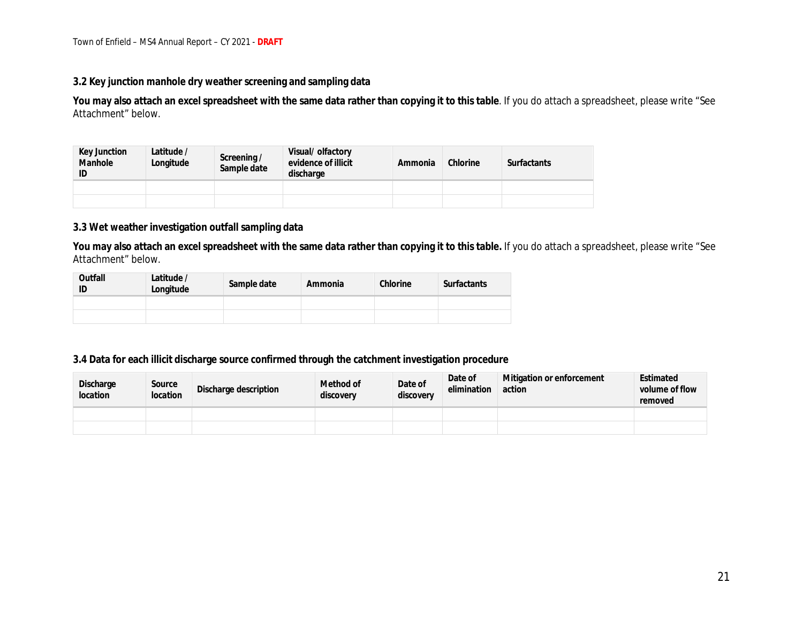#### **3.2 Key junction manhole dry weather screening and sampling data**

**You may also attach an excel spreadsheet with the same data rather than copying it to this table**. If you do attach a spreadsheet, please write "See Attachment" below.

| Key Junction<br>Manhole<br>ID | Latitude /<br>Longitude | Screening /<br>Sample date | Visual/ olfactory<br>evidence of illicit<br>discharge | Ammonia | Chlorine | <b>Surfactants</b> |
|-------------------------------|-------------------------|----------------------------|-------------------------------------------------------|---------|----------|--------------------|
|                               |                         |                            |                                                       |         |          |                    |
|                               |                         |                            |                                                       |         |          |                    |

#### **3.3 Wet weather investigation outfall sampling data**

**You may also attach an excel spreadsheet with the same data rather than copying it to this table.** If you do attach a spreadsheet, please write "See Attachment" below.

| Outfall | Latitude /<br>Longitude | Sample date | Ammonia | Chlorine | Surfactants |  |
|---------|-------------------------|-------------|---------|----------|-------------|--|
|         |                         |             |         |          |             |  |
|         |                         |             |         |          |             |  |

#### **3.4 Data for each illicit discharge source confirmed through the catchment investigation procedure**

| Discharge<br>location | Source<br>location | Discharge description | Method of<br>discovery | Date of<br>discovery | Date of<br>elimination | Mitigation or enforcement<br>action | Estimated<br>volume of flow<br>removed |
|-----------------------|--------------------|-----------------------|------------------------|----------------------|------------------------|-------------------------------------|----------------------------------------|
|                       |                    |                       |                        |                      |                        |                                     |                                        |
|                       |                    |                       |                        |                      |                        |                                     |                                        |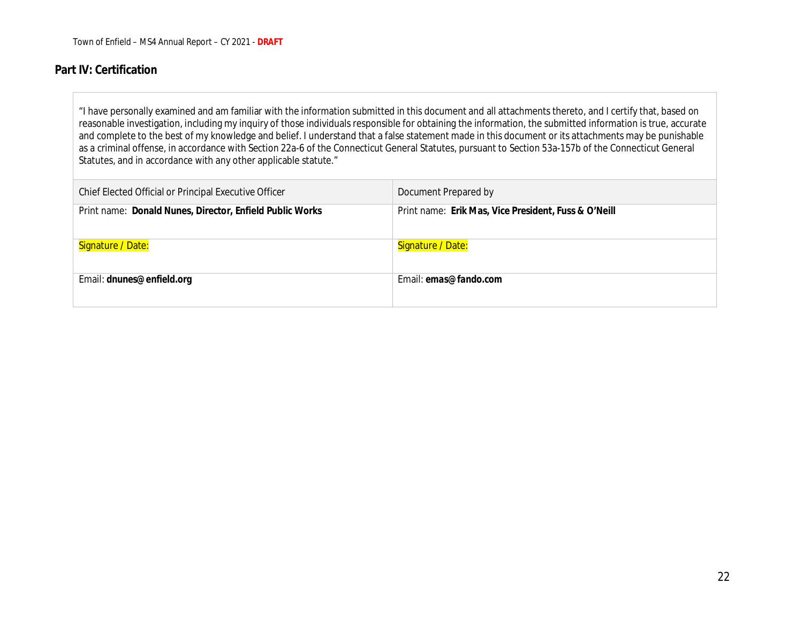### **Part IV: Certification**

"I have personally examined and am familiar with the information submitted in this document and all attachments thereto, and I certify that, based on reasonable investigation, including my inquiry of those individuals responsible for obtaining the information, the submitted information is true, accurate and complete to the best of my knowledge and belief. I understand that a false statement made in this document or its attachments may be punishable as a criminal offense, in accordance with Section 22a-6 of the Connecticut General Statutes, pursuant to Section 53a-157b of the Connecticut General Statutes, and in accordance with any other applicable statute."

| Chief Elected Official or Principal Executive Officer    | Document Prepared by                                 |
|----------------------------------------------------------|------------------------------------------------------|
| Print name: Donald Nunes, Director, Enfield Public Works | Print name: Erik Mas, Vice President, Fuss & O'Neill |
| Signature / Date:                                        | Signature / Date:                                    |
| Email: dnunes@enfield.org                                | Email: emas@fando.com                                |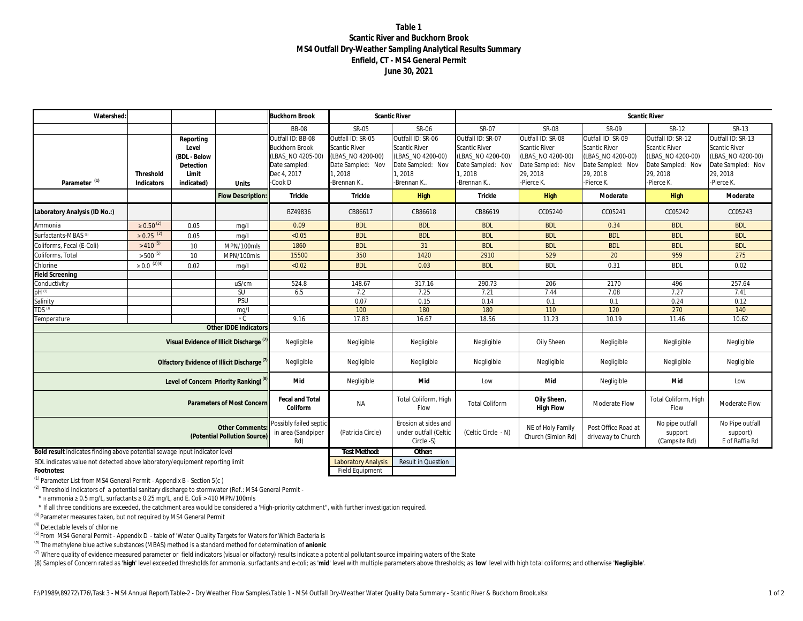#### **Table 1 Scantic River and Buckhorn Brook MS4 Outfall Dry-Weather Sampling Analytical Results Summary Enfield, CT - MS4 General Permit June 30, 2021**

| Watershed                                                                                                    |                            |                                                                        |                                                        | <b>Buckhorn Brook</b>                                                                                      | <b>Scantic River</b>                                                                                 |                                                                                                           | <b>Scantic River</b>                                                                                        |                                                                                                               |                                                                                                               |                                                                                                        |                                                                                                              |
|--------------------------------------------------------------------------------------------------------------|----------------------------|------------------------------------------------------------------------|--------------------------------------------------------|------------------------------------------------------------------------------------------------------------|------------------------------------------------------------------------------------------------------|-----------------------------------------------------------------------------------------------------------|-------------------------------------------------------------------------------------------------------------|---------------------------------------------------------------------------------------------------------------|---------------------------------------------------------------------------------------------------------------|--------------------------------------------------------------------------------------------------------|--------------------------------------------------------------------------------------------------------------|
|                                                                                                              |                            |                                                                        |                                                        | <b>BB-08</b>                                                                                               | SR-05                                                                                                | SR-06                                                                                                     | SR-07                                                                                                       | <b>SR-08</b>                                                                                                  | SR-09                                                                                                         | SR-12                                                                                                  | SR-13                                                                                                        |
| Parameter <sup>(1)</sup>                                                                                     | Threshold<br>Indicators    | Reporting<br>Level<br>(BDL - Below<br>Detection<br>Limit<br>indicated) | Units                                                  | Outfall ID: BB-08<br><b>Buckhorn Brook</b><br>(LBAS NO 4205-00)<br>Date sampled:<br>Dec 4, 2017<br>-Cook D | Outfall ID: SR-05<br>Scantic River<br>(LBAS NO 4200-00)<br>Date Sampled: Nov<br>1.2018<br>-Brennan K | Outfall ID: SR-06<br><b>Scantic River</b><br>(LBAS NO 4200-00)<br>Date Sampled: Nov<br>.2018<br>Brennan K | Outfall ID: SR-07<br><b>Scantic River</b><br>(LBAS NO 4200-00)<br>Date Sampled: Nov<br>1,2018<br>-Brennan K | Outfall ID: SR-08<br><b>Scantic River</b><br>(LBAS NO 4200-00)<br>Date Sampled: Nov<br>29, 2018<br>-Pierce K. | Outfall ID: SR-09<br><b>Scantic River</b><br>(LBAS NO 4200-00)<br>Date Sampled: Nov<br>29, 2018<br>-Pierce K. | Outfall ID: SR-12<br>Scantic River<br>(LBAS NO 4200-00)<br>Date Sampled: Nov<br>29, 2018<br>-Pierce K. | Outfall ID: SR-13<br><b>Scantic River</b><br>(LBAS_NO 4200-00)<br>Date Sampled: Nov<br>29, 2018<br>Pierce K. |
|                                                                                                              |                            |                                                                        | <b>Flow Description</b>                                | Trickle                                                                                                    | Trickle                                                                                              | High                                                                                                      | Trickle                                                                                                     | High                                                                                                          | Moderate                                                                                                      | High                                                                                                   | Moderate                                                                                                     |
| Laboratory Analysis (ID No.:)                                                                                |                            |                                                                        |                                                        | BZ49836                                                                                                    | CB86617                                                                                              | CB86618                                                                                                   | CB86619                                                                                                     | CC05240                                                                                                       | CC05241                                                                                                       | CC05242                                                                                                | CC05243                                                                                                      |
| Ammonia                                                                                                      | $\geq 0.50^{(2)}$          | 0.05                                                                   | mq/1                                                   | 0.09                                                                                                       | <b>BDL</b>                                                                                           | <b>BDL</b>                                                                                                | <b>BDL</b>                                                                                                  | <b>BDL</b>                                                                                                    | 0.34                                                                                                          | <b>BDL</b>                                                                                             | <b>BDL</b>                                                                                                   |
| Surfactants-MBAS <sup>(6)</sup>                                                                              | $\geq 0.25$ <sup>(2)</sup> | 0.05                                                                   | mq/1                                                   | < 0.05                                                                                                     | <b>BDL</b>                                                                                           | <b>BDL</b>                                                                                                | <b>BDL</b>                                                                                                  | <b>BDL</b>                                                                                                    | <b>BDL</b>                                                                                                    | <b>BDL</b>                                                                                             | <b>BDL</b>                                                                                                   |
| Coliforms, Fecal (E-Coli)                                                                                    | $>410^{(5)}$               | 10 <sup>1</sup>                                                        | MPN/100mls                                             | 1860                                                                                                       | <b>BDL</b>                                                                                           | 31                                                                                                        | <b>BDL</b>                                                                                                  | <b>BDL</b>                                                                                                    | <b>BDL</b>                                                                                                    | <b>BDL</b>                                                                                             | <b>BDL</b>                                                                                                   |
| Coliforms, Total                                                                                             | $>$ 500 $^{(5)}$           | 10                                                                     | MPN/100mls                                             | 15500                                                                                                      | 350                                                                                                  | 1420                                                                                                      | 2910                                                                                                        | 529                                                                                                           | 20                                                                                                            | 959                                                                                                    | 275                                                                                                          |
| Chlorine                                                                                                     | $\geq 0.0^{(2)(4)}$        | 0.02                                                                   | mq/1                                                   | < 0.02                                                                                                     | <b>BDL</b>                                                                                           | 0.03                                                                                                      | <b>BDL</b>                                                                                                  | <b>BDL</b>                                                                                                    | 0.31                                                                                                          | <b>BDL</b>                                                                                             | 0.02                                                                                                         |
| Field Screening                                                                                              |                            |                                                                        |                                                        |                                                                                                            |                                                                                                      |                                                                                                           |                                                                                                             |                                                                                                               |                                                                                                               |                                                                                                        |                                                                                                              |
| Conductivity                                                                                                 |                            |                                                                        | uS/cm                                                  | 524.8                                                                                                      | 148.67                                                                                               | 317.16                                                                                                    | 290.73                                                                                                      | 206                                                                                                           | 2170                                                                                                          | 496                                                                                                    | 257.64                                                                                                       |
| $pH^{(3)}$                                                                                                   |                            |                                                                        | SU                                                     | 6.5                                                                                                        | 7.2                                                                                                  | 7.25                                                                                                      | 7.21                                                                                                        | 7.44                                                                                                          | 7.08                                                                                                          | 7.27                                                                                                   | 7.41                                                                                                         |
| Salinity                                                                                                     |                            |                                                                        | <b>PSU</b>                                             |                                                                                                            | 0.07                                                                                                 | 0.15                                                                                                      | 0.14                                                                                                        | 0.1                                                                                                           | 0.1                                                                                                           | 0.24                                                                                                   | 0.12                                                                                                         |
| <b>TDS</b> <sup>(3)</sup>                                                                                    |                            |                                                                        | mq/l                                                   |                                                                                                            | 100                                                                                                  | 180                                                                                                       | 180                                                                                                         | 110                                                                                                           | 120                                                                                                           | 270                                                                                                    | 140                                                                                                          |
| Temperature                                                                                                  |                            |                                                                        | $\circ$ C                                              | 9.16                                                                                                       | 17.83                                                                                                | 16.67                                                                                                     | 18.56                                                                                                       | 11.23                                                                                                         | 10.19                                                                                                         | 11.46                                                                                                  | 10.62                                                                                                        |
|                                                                                                              |                            |                                                                        | Other IDDE Indicator                                   |                                                                                                            |                                                                                                      |                                                                                                           |                                                                                                             |                                                                                                               |                                                                                                               |                                                                                                        |                                                                                                              |
|                                                                                                              |                            |                                                                        | Visual Evidence of Illicit Discharge "                 | Negligible                                                                                                 | Negligible                                                                                           | Negligible                                                                                                | Negligible                                                                                                  | Oily Sheen                                                                                                    | Negligible                                                                                                    | Negligible                                                                                             | Negligible                                                                                                   |
|                                                                                                              |                            |                                                                        | Olfactory Evidence of Illicit Discharge <sup>(1)</sup> | Negligible                                                                                                 | Negligible                                                                                           | Negligible                                                                                                | Negligible                                                                                                  | Negligible                                                                                                    | Negligible                                                                                                    | Negligible                                                                                             | Negligible                                                                                                   |
| Mid<br>Level of Concern Priority Ranking) <sup>(8)</sup>                                                     |                            |                                                                        |                                                        |                                                                                                            | Negligible                                                                                           | Mid                                                                                                       | Low                                                                                                         | Mid                                                                                                           | Negligible                                                                                                    | Mid                                                                                                    | Low                                                                                                          |
| Fecal and Total<br>Parameters of Most Concern<br>Coliform                                                    |                            |                                                                        |                                                        |                                                                                                            | <b>NA</b>                                                                                            | Total Coliform, High<br>Flow                                                                              | <b>Total Coliform</b>                                                                                       | Oily Sheen,<br>High Flow                                                                                      | Moderate Flow                                                                                                 | Total Coliform, High<br>Flow                                                                           | Moderate Flow                                                                                                |
| Possibly failed septic<br><b>Other Comments</b><br>in area (Sandpiper<br>(Potential Pollution Source)<br>Rd) |                            |                                                                        |                                                        |                                                                                                            | (Patricia Circle)                                                                                    | Erosion at sides and<br>under outfall (Celtic<br>Circle -S)                                               | (Celtic Circle - N)                                                                                         | NE of Holy Family<br>Church (Simion Rd)                                                                       | Post Office Road at<br>driveway to Church                                                                     | No pipe outfall<br>support<br>(Campsite Rd)                                                            | No Pipe outfall<br>support)<br>E of Raffia Rd                                                                |
| Bold result indicates finding above potential sewage input indicator level                                   |                            |                                                                        |                                                        |                                                                                                            | <b>Test Method:</b>                                                                                  | Other:                                                                                                    |                                                                                                             |                                                                                                               |                                                                                                               |                                                                                                        |                                                                                                              |
|                                                                                                              |                            |                                                                        |                                                        |                                                                                                            |                                                                                                      | $\sim$<br>$\cdots$                                                                                        |                                                                                                             |                                                                                                               |                                                                                                               |                                                                                                        |                                                                                                              |

BDL indicates value not detected above laboratory/equipment reporting limit Laboratory Analysis Result in Question **Footnotes:** Field Equipment

(1) Parameter List from *MS4 General Permit - Appendix B - Section 5(c )*

(2) Threshold Indicators of a potential sanitary discharge to stormwater (Ref.: *MS4 General Permit -*

\* If ammonia ≥ 0.5 mg/L, surfactants ≥ 0.25 mg/L, and E. Coli > 410 MPN/100mls

\* If all three conditions are exceeded, the catchment area would be considered a 'High-priority catchment", with further investigation required.

(3) Parameter measures taken, but not required by *MS4 General Permit*

(4) Detectable levels of chlorine

<sup>(5)</sup> From *MS4 General Permit - Appendix D* - table of 'Water Quality Targets for Waters for Which Bacteria is

(6) The methylene blue active substances (MBAS) method is a standard method for determination of **anionic**

 $^{(7)}$  Where quality of evidence measured parameter or field indicators (visual or olfactory) results indicate a potential pollutant source impairing waters of the State

(8) Samples of Concern rated as 'high' level exceeded thresholds for ammonia, surfactants and e-coli; as 'mid' level with multiple parameters above thresholds; as 'low' level with high total coliforms; and otherwise 'Negli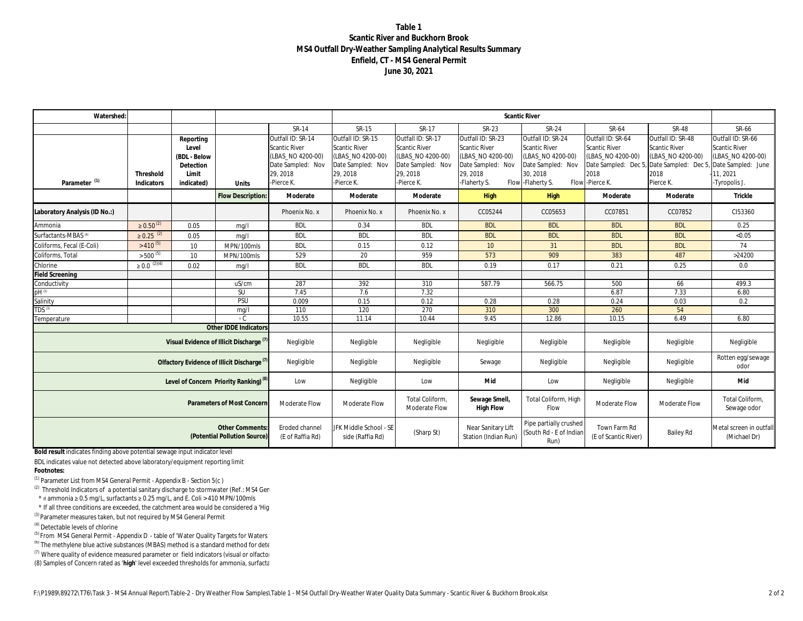#### **Table 1 Scantic River and Buckhorn Brook MS4 Outfall Dry-Weather Sampling Analytical Results Summary Enfield, CT - MS4 General Permit June 30, 2021**

| Watershed:                                                                                  |                            |                                                                        |                                                     |                                                                                                        |                                                                                                               |                                                                                                               |                                                                                                                 | <b>Scantic River</b>                                                                                                  |                                                                                                                                 |                                                                                     |                                                                                                                   |
|---------------------------------------------------------------------------------------------|----------------------------|------------------------------------------------------------------------|-----------------------------------------------------|--------------------------------------------------------------------------------------------------------|---------------------------------------------------------------------------------------------------------------|---------------------------------------------------------------------------------------------------------------|-----------------------------------------------------------------------------------------------------------------|-----------------------------------------------------------------------------------------------------------------------|---------------------------------------------------------------------------------------------------------------------------------|-------------------------------------------------------------------------------------|-------------------------------------------------------------------------------------------------------------------|
|                                                                                             |                            |                                                                        |                                                     | SR-14                                                                                                  | SR-15                                                                                                         | SR-17                                                                                                         | SR-23                                                                                                           | SR-24                                                                                                                 | SR-64                                                                                                                           | <b>SR-48</b>                                                                        | SR-66                                                                                                             |
| Parameter <sup>(1)</sup>                                                                    | Threshold<br>Indicators    | Reporting<br>Level<br>(BDL - Below<br>Detection<br>Limit<br>indicated) | Units                                               | Outfall ID: SR-14<br>Scantic River<br>(LBAS_NO 4200-00)<br>Date Sampled: Nov<br>29, 2018<br>-Pierce K. | Outfall ID: SR-15<br><b>Scantic River</b><br>(LBAS_NO 4200-00)<br>Date Sampled: Nov<br>29, 2018<br>-Pierce K. | Outfall ID: SR-17<br><b>Scantic River</b><br>(LBAS_NO 4200-00)<br>Date Sampled: Nov<br>29, 2018<br>-Pierce K. | Outfall ID: SR-23<br><b>Scantic River</b><br>(LBAS_NO 4200-00)<br>Date Sampled: Nov<br>29, 2018<br>-Flaherty S. | Outfall ID: SR-24<br><b>Scantic River</b><br>(LBAS_NO 4200-00)<br>Date Sampled: Nov<br>30, 2018<br>Flow - Flaherty S. | Outfall ID: SR-64<br>Scantic River<br>(LBAS_NO 4200-00)<br>Date Sampled: Dec 5, Date Sampled: Dec 5<br>2018<br>Flow - Pierce K. | Outfall ID: SR-48<br><b>Scantic River</b><br>(LBAS NO 4200-00)<br>2018<br>Pierce K. | Outfall ID: SR-66<br><b>Scantic River</b><br>(LBAS_NO 4200-00)<br>Date Sampled: June<br>11, 2021<br>-Tyropolis J. |
|                                                                                             |                            |                                                                        | Flow Description:                                   | Moderate                                                                                               | Moderate                                                                                                      | Moderate                                                                                                      | <b>High</b>                                                                                                     | High                                                                                                                  | Moderate                                                                                                                        | Moderate                                                                            | Trickle                                                                                                           |
| aboratory Analysis (ID No.:)                                                                |                            |                                                                        |                                                     | Phoenix No. x                                                                                          | Phoenix No. x                                                                                                 | Phoenix No. x                                                                                                 | CC05244                                                                                                         | CC05653                                                                                                               | CC07851                                                                                                                         | CC07852                                                                             | CI53360                                                                                                           |
| Ammonia                                                                                     | $\geq 0.50^{(2)}$          | 0.05                                                                   | mq/1                                                | <b>BDL</b>                                                                                             | 0.34                                                                                                          | <b>BDL</b>                                                                                                    | <b>BDL</b>                                                                                                      | <b>BDL</b>                                                                                                            | <b>BDL</b>                                                                                                                      | <b>BDL</b>                                                                          | 0.25                                                                                                              |
| Surfactants-MBAS <sup>(6)</sup>                                                             | $\geq 0.25$ <sup>(2)</sup> | 0.05                                                                   | mq/1                                                | <b>BDL</b>                                                                                             | <b>BDL</b>                                                                                                    | <b>BDL</b>                                                                                                    | <b>BDL</b>                                                                                                      | <b>BDL</b>                                                                                                            | <b>BDL</b>                                                                                                                      | <b>BDL</b>                                                                          | < 0.05                                                                                                            |
| Coliforms, Fecal (E-Coli)                                                                   | $>$ 410 <sup>(5)</sup>     | 10 <sup>°</sup>                                                        | MPN/100mls                                          | <b>BDL</b>                                                                                             | 0.15                                                                                                          | 0.12                                                                                                          | 10 <sup>°</sup>                                                                                                 | 31                                                                                                                    | <b>BDL</b>                                                                                                                      | <b>BDL</b>                                                                          | 74                                                                                                                |
| Coliforms, Total                                                                            | $>$ 500 $(5)$              | 10 <sup>1</sup>                                                        | MPN/100mls                                          | 529                                                                                                    | 20                                                                                                            | 959                                                                                                           | 573                                                                                                             | 909                                                                                                                   | 383                                                                                                                             | 487                                                                                 | >24200                                                                                                            |
| Chlorine                                                                                    | $\geq 0.0^{(2)(4)}$        | 0.02                                                                   | mq/1                                                | <b>BDL</b>                                                                                             | <b>BDL</b>                                                                                                    | <b>BDL</b>                                                                                                    | 0.19                                                                                                            | 0.17                                                                                                                  | 0.21                                                                                                                            | 0.25                                                                                | 0.0                                                                                                               |
| ield Screening                                                                              |                            |                                                                        |                                                     |                                                                                                        |                                                                                                               |                                                                                                               |                                                                                                                 |                                                                                                                       |                                                                                                                                 |                                                                                     |                                                                                                                   |
| Conductivity                                                                                |                            |                                                                        | uS/cm                                               | 287                                                                                                    | 392                                                                                                           | 310                                                                                                           | 587.79                                                                                                          | 566.75                                                                                                                | 500                                                                                                                             | 66                                                                                  | 499.3                                                                                                             |
| $DH^{(3)}$                                                                                  |                            |                                                                        | SU                                                  | 7.45                                                                                                   | 7.6                                                                                                           | 7.32                                                                                                          |                                                                                                                 |                                                                                                                       | 6.87                                                                                                                            | 7.33                                                                                | 6.80                                                                                                              |
| Salinity                                                                                    |                            |                                                                        | PSU                                                 | 0.009                                                                                                  | 0.15                                                                                                          | 0.12                                                                                                          | 0.28                                                                                                            | 0.28                                                                                                                  | 0.24                                                                                                                            | 0.03                                                                                | 0.2                                                                                                               |
| TDS <sup>(3)</sup>                                                                          |                            |                                                                        | mq/1                                                | 110                                                                                                    | 120                                                                                                           | 270                                                                                                           | 310                                                                                                             | 300                                                                                                                   | 260                                                                                                                             | 54                                                                                  |                                                                                                                   |
| Temperature                                                                                 |                            |                                                                        | $\circ$ C                                           | 10.55                                                                                                  | 11.14                                                                                                         | 10.44                                                                                                         | 9.45                                                                                                            | 12.86                                                                                                                 | 10.15                                                                                                                           | 6.49                                                                                | 6.80                                                                                                              |
|                                                                                             |                            |                                                                        | Other IDDE Indicators                               |                                                                                                        |                                                                                                               |                                                                                                               |                                                                                                                 |                                                                                                                       |                                                                                                                                 |                                                                                     |                                                                                                                   |
|                                                                                             |                            |                                                                        | Visual Evidence of Illicit Discharge <sup>(7)</sup> | Negligible                                                                                             | Negligible                                                                                                    | Negligible                                                                                                    | Negligible                                                                                                      | Negligible                                                                                                            | Negligible                                                                                                                      | Negligible                                                                          | Negligible                                                                                                        |
| Olfactory Evidence of Illicit Discharge <sup>(7)</sup><br>Negligible                        |                            |                                                                        |                                                     |                                                                                                        | Negligible                                                                                                    | Negligible                                                                                                    | Sewage                                                                                                          | Negligible                                                                                                            | Negligible                                                                                                                      | Negligible                                                                          | Rotten egg/sewage<br>odor                                                                                         |
| Level of Concern Priority Ranking) <sup>(8)</sup><br>Low                                    |                            |                                                                        |                                                     |                                                                                                        | Negligible                                                                                                    | Low                                                                                                           | Mid                                                                                                             | Low                                                                                                                   | Negligible                                                                                                                      | Negligible                                                                          | Mid                                                                                                               |
| Parameters of Most Concern<br>Moderate Flow                                                 |                            |                                                                        |                                                     |                                                                                                        | Moderate Flow                                                                                                 | Total Coliform,<br>Moderate Flow                                                                              | Sewage Smell<br>High Flow                                                                                       | Total Coliform, High<br>Flow                                                                                          | Moderate Flow                                                                                                                   | Moderate Flow                                                                       | Total Coliform,<br>Sewage odor                                                                                    |
| <b>Other Comments</b><br>Eroded channel<br>(Potential Pollution Source)<br>(E of Raffia Rd) |                            |                                                                        |                                                     |                                                                                                        | JFK Middle School - SE<br>side (Raffia Rd)                                                                    | (Sharp St)                                                                                                    | Near Sanitary Lift<br>Station (Indian Run)                                                                      | Pipe partially crushed<br>(South Rd - E of Indian<br>Run)                                                             | Town Farm Rd<br>(E of Scantic River)                                                                                            | <b>Bailey Rd</b>                                                                    | Metal screen in outfall<br>(Michael Dr)                                                                           |

**Bold result** indicates finding above potential sewage input indicator level

BDL indicates value not detected above laboratory/equipment reporting limit **Footnotes:**

(1) Parameter List from *MS4 General Permit - Appendix B - Section 5(c )*

(2) Threshold Indicators of a potential sanitary discharge to stormwater (Ref.: *MS4 Ger* 

\* If ammonia ≥ 0.5 mg/L, surfactants ≥ 0.25 mg/L, and E. Coli > 410 MPN/100mls

\* If all three conditions are exceeded, the catchment area would be considered a 'High-

(3) Parameter measures taken, but not required by *MS4 General Permit*

(4) Detectable levels of chlorine

<sup>(5)</sup> From *MS4 General Permit - Appendix D* - table of 'Water Quality Targets for Waters'

 $^{(6)}$  The methylene blue active substances (MBAS) method is a standard method for determination of

 $(7)$  Where quality of evidence measured parameter or field indicators (visual or olfactor

(8) Samples of Concern rated as 'high' level exceeded thresholds for ammonia, surfactal